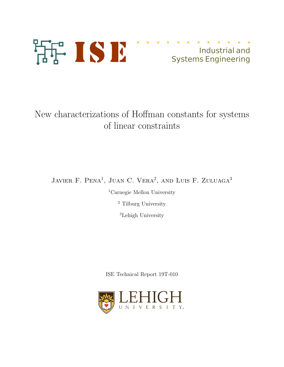

# Industrial and Systems Engineering

# New characterizations of Hoffman constants for systems of linear constraints

JAVIER F. PENA<sup>1</sup>, JUAN C. VERA<sup>2</sup>, AND LUIS F. ZULUAGA<sup>3</sup>

<sup>1</sup>Carnegie Mellon University

<sup>2</sup> Tilburg University

<sup>3</sup>Lehigh University

ISE Technical Report 19T-010

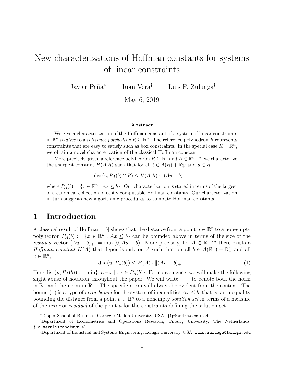## New characterizations of Hoffman constants for systems of linear constraints

Javier Peña<sup>∗</sup> Juan Vera<sup>†</sup> Luis F. Zuluaga<sup>‡</sup>

May 6, 2019

#### Abstract

We give a characterization of the Hoffman constant of a system of linear constraints in  $\mathbb{R}^n$  relative to a reference polyhedron  $R \subseteq \mathbb{R}^n$ . The reference polyhedron R represents constraints that are easy to satisfy such as box constraints. In the special case  $R = \mathbb{R}^n$ , we obtain a novel characterization of the classical Hoffman constant.

More precisely, given a reference polyhedron  $R \subseteq \mathbb{R}^n$  and  $A \in \mathbb{R}^{m \times n}$ , we characterize the sharpest constant  $H(A|R)$  such that for all  $b \in A(R) + \mathbb{R}^m_+$  and  $u \in R$ 

dist $(u, P_A(b) \cap R) \leq H(A|R) \cdot ||(Au - b)_{+}||$ ,

where  $P_A(b) = \{x \in \mathbb{R}^n : Ax \leq b\}$ . Our characterization is stated in terms of the largest of a canonical collection of easily computable Hoffman constants. Our characterization in turn suggests new algorithmic procedures to compute Hoffman constants.

## 1 Introduction

A classical result of Hoffman [15] shows that the distance from a point  $u \in \mathbb{R}^n$  to a non-empty polyhedron  $P_A(b) := \{x \in \mathbb{R}^n : Ax \leq b\}$  can be bounded above in terms of the size of the residual vector  $(Au - b)_+ := \max(0, Au - b)$ . More precisely, for  $A \in \mathbb{R}^{m \times n}$  there exists a Hoffman constant  $H(A)$  that depends only on A such that for all  $b \in A(\mathbb{R}^n) + \mathbb{R}^m_+$  and all  $u \in \mathbb{R}^n$ ,

$$
dist(u, P_A(b)) \le H(A) \cdot ||(Au - b)_+||. \tag{1}
$$

Here dist $(u, P_A(b)) := \min\{||u-x|| : x \in P_A(b)\}.$  For convenience, we will make the following slight abuse of notation throughout the paper. We will write  $\|\cdot\|$  to denote both the norm in  $\mathbb{R}^n$  and the norm in  $\mathbb{R}^m$ . The specific norm will always be evident from the context. The bound (1) is a type of *error bound* for the system of inequalities  $Ax \leq b$ , that is, an inequality bounding the distance from a point  $u \in \mathbb{R}^n$  to a nonempty solution set in terms of a measure of the *error* or *residual* of the point  $u$  for the constraints defining the solution set.

<sup>∗</sup>Tepper School of Business, Carnegie Mellon University, USA, jfp@andrew.cmu.edu

<sup>†</sup>Department of Econometrics and Operations Research, Tilburg University, The Netherlands, j.c.veralizcano@uvt.nl

<sup>‡</sup>Department of Industrial and Systems Engineering, Lehigh University, USA, luis.zuluaga@lehigh.edu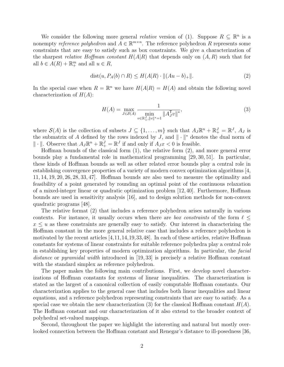We consider the following more general *relative* version of (1). Suppose  $R \subseteq \mathbb{R}^n$  is a nonempty *reference polyhedron* and  $A \in \mathbb{R}^{m \times n}$ . The reference polyhedron R represents some constraints that are easy to satisfy such as box constraints. We give a characterization of the sharpest *relative Hoffman constant*  $H(A|R)$  that depends only on  $(A, R)$  such that for all  $b \in A(R) + \mathbb{R}^m_+$  and all  $u \in R$ ,

$$
dist(u, P_A(b) \cap R) \le H(A|R) \cdot ||(Au - b)_+||. \tag{2}
$$

In the special case when  $R = \mathbb{R}^n$  we have  $H(A|R) = H(A)$  and obtain the following novel characterization of  $H(A)$ :

$$
H(A) = \max_{J \in \mathcal{S}(A)} \frac{1}{\min_{v \in \mathbb{R}_+^J, ||v||^* = 1} ||A_J^T v||^*},\tag{3}
$$

where  $\mathcal{S}(A)$  is the collection of subsets  $J \subseteq \{1, \ldots, m\}$  such that  $A_J \mathbb{R}^n + \mathbb{R}^J_+ = \mathbb{R}^J$ ,  $A_J$  is the submatrix of A defined by the rows indexed by J, and  $\|\cdot\|^*$  denotes the dual norm of  $\|\cdot\|$ . Observe that  $A_J \mathbb{R}^n + \mathbb{R}^J_+ = \mathbb{R}^J$  if and only if  $A_J x < 0$  is feasible.

Hoffman bounds of the classical form (1), the relative form (2), and more general error bounds play a fundamental role in mathematical programming [29, 30, 51]. In particular, these kinds of Hoffman bounds as well as other related error bounds play a central role in establishing convergence properties of a variety of modern convex optimization algorithms [4, 11, 14, 19, 20, 26, 28, 33, 47]. Hoffman bounds are also used to measure the optimality and feasibility of a point generated by rounding an optimal point of the continuous relaxation of a mixed-integer linear or quadratic optimization problem [12, 40]. Furthermore, Hoffman bounds are used in sensitivity analysis [16], and to design solution methods for non-convex quadratic programs [48].

The relative format (2) that includes a reference polyhedron arises naturally in various contexts. For instance, it usually occurs when there are *box constraints* of the form  $\ell \leq$  $x \leq u$  as these constraints are generally easy to satisfy. Our interest in characterizing the Hoffman constant in the more general relative case that includes a reference polyhedron is motivated by the recent articles  $[4,11,14,19,33,48]$ . In each of these articles, relative Hoffman constants for systems of linear constraints for suitable reference polyhedra play a central role in establishing key properties of modern optimization algorithms. In particular, the facial distance or pyramidal width introduced in [19, 33] is precisely a relative Hoffman constant with the standard simplex as reference polyhedron.

The paper makes the following main contributions. First, we develop novel characterizations of Hoffman constants for systems of linear inequalities. The characterization is stated as the largest of a canonical collection of easily computable Hoffman constants. Our characterization applies to the general case that includes both linear inequalities and linear equations, and a reference polyhedron representing constraints that are easy to satisfy. As a special case we obtain the new characterization (3) for the classical Hoffman constant  $H(A)$ . The Hoffman constant and our characterization of it also extend to the broader context of polyhedral set-valued mappings.

Second, throughout the paper we highlight the interesting and natural but mostly overlooked connection between the Hoffman constant and Renegar's distance to ill-posedness [36,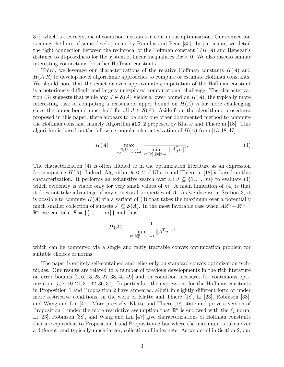37], which is a cornerstone of condition measures in continuous optimization. Our connection is along the lines of some developments by Ramdas and Peña [35]. In particular, we detail the tight connection between the reciprocal of the Hoffman constant  $1/H(A)$  and Renegar's distance to ill-posedness for the system of linear inequalities  $Ax < 0$ . We also discuss similar interesting connections for other Hoffman constants.

Third, we leverage our characterizations of the relative Hoffman constants  $H(A)$  and  $H(A|R)$  to develop novel algorithmic approaches to compute or estimate Hoffman constants. We should note that the exact or even approximate computation of the Hoffman constant is a notoriously difficult and largely unexplored computational challenge. The characterization (3) suggests that while any  $J \in \mathcal{S}(A)$  yields a lower bound on  $H(A)$ , the typically more interesting task of computing a reasonable upper bound on  $H(A)$  is far more challenging since the upper bound must hold for all  $J \in \mathcal{S}(A)$ . Aside from the algorithmic procedures proposed in this paper, there appears to be only one other documented method to compute the Hoffman constant, namely Algorithm ALG 2 proposed by Klatte and Thiere in [18]. This algorithm is based on the following popular characterization of  $H(A)$  from [13, 18, 47]

$$
H(A) = \max_{\substack{J \subseteq \{1, \dots, m\} \\ A_J \text{ full row rank}}} \frac{1}{\min_{v \in \mathbb{R}_+^J, ||v||^* = 1} ||A_J^T v||^*}.
$$
\n(4)

The characterization (4) is often alluded to in the optimization literature as an expression for computing  $H(A)$ . Indeed, Algorithm ALG 2 of Klatte and Thiere in [18] is based on this characterization. It performs an exhaustive search over all  $J \subseteq \{1, \ldots, m\}$  to evaluate (4) which evidently is viable only for very small values of  $m$ . A main limitation of  $(4)$  is that it does not take advantage of any structural properties of A. As we discuss in Section 3, it is possible to compute  $H(A)$  via a variant of (3) that takes the maximum over a potentially much smaller collection of subsets  $\mathcal{F} \subseteq \mathcal{S}(A)$ . In the most favorable case when  $A \mathbb{R}^n + \mathbb{R}^m_+$  $\mathbb{R}^m$  we can take  $\mathcal{F} = \{\{1, \ldots, m\}\}\$ and thus

$$
H(A) = \frac{1}{\min_{v \in \mathbb{R}_+^m, ||v||^* = 1} ||A^{\mathsf{T}} v||^*},
$$

which can be computed via a single and fairly tractable convex optimization problem for suitable choices of norms.

The paper is entirely self-contained and relies only on standard convex optimization techniques. Our results are related to a number of previous developments in the rich literature on error bounds  $[2, 6, 13, 23, 27, 38, 45, 49]$  and on condition measures for continuous optimization  $[5, 7-10, 21, 31, 32, 36, 37]$ . In particular, the expressions for the Hoffman constants in Proposition 1 and Proposition 2 have appeared, albeit in slightly different form or under more restrictive conditions, in the work of Klatte and Thiere [18], Li [23], Robinson [38], and Wang and Lin [47]. More precisely, Klatte and Thiere [18] state and prove a version of Proposition 1 under the more restrictive assumption that  $\mathbb{R}^n$  is endowed with the  $\ell_2$  norm. Li [23], Robinson [38], and Wang and Lin [47] give characterizations of Hoffman constants that are equivalent to Proposition 1 and Proposition 2 but where the maximum is taken over a different, and typically much larger, collection of index sets. As we detail in Section 2, our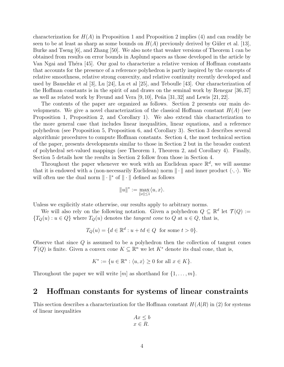characterization for  $H(A)$  in Proposition 1 and Proposition 2 implies (4) and can readily be seen to be at least as sharp as some bounds on  $H(A)$  previously derived by Güler et al. [13], Burke and Tseng [6], and Zhang [50]. We also note that weaker versions of Theorem 1 can be obtained from results on error bounds in Asplund spaces as those developed in the article by Van Ngai and Théra [45]. Our goal to characterize a relative version of Hoffman constants that accounts for the presence of a reference polyhedron is partly inspired by the concepts of relative smoothness, relative strong convexity, and relative continuity recently developed and used by Bauschke et al [3], Lu [24], Lu et al [25], and Teboulle [43]. Our characterization of the Hoffman constants is in the spirit of and draws on the seminal work by Renegar [36, 37] as well as related work by Freund and Vera  $[9, 10]$ , Peña  $[31, 32]$  and Lewis  $[21, 22]$ .

The contents of the paper are organized as follows. Section 2 presents our main developments. We give a novel characterization of the classical Hoffman constant  $H(A)$  (see Proposition 1, Proposition 2, and Corollary 1). We also extend this characterization to the more general case that includes linear inequalities, linear equations, and a reference polyhedron (see Proposition 5, Proposition 6, and Corollary 3). Section 3 describes several algorithmic procedures to compute Hoffman constants. Section 4, the most technical section of the paper, presents developments similar to those in Section 2 but in the broader context of polyhedral set-valued mappings (see Theorem 1, Theorem 2, and Corollary 4). Finally, Section 5 details how the results in Section 2 follow from those in Section 4.

Throughout the paper whenever we work with an Euclidean space  $\mathbb{R}^d$ , we will assume that it is endowed with a (non-necessarily Euclidean) norm  $\|\cdot\|$  and inner product  $\langle \cdot, \cdot \rangle$ . We will often use the dual norm  $\|\cdot\|^*$  of  $\|\cdot\|$  defined as follows

$$
\|u\|^*:=\max_{\|x\|\leq 1}\langle u,x\rangle.
$$

Unless we explicitly state otherwise, our results apply to arbitrary norms.

We will also rely on the following notation. Given a polyhedron  $Q \subseteq \mathbb{R}^d$  let  $\mathcal{T}(Q) :=$  ${T_Q(u) : u \in Q}$  where  ${T_Q(u)}$  denotes the *tangent cone* to Q at  $u \in Q$ , that is,

$$
T_Q(u) = \{ d \in \mathbb{R}^d : u + td \in Q \text{ for some } t > 0 \}.
$$

Observe that since  $Q$  is assumed to be a polyhedron then the collection of tangent cones  $\mathcal{T}(Q)$  is finite. Given a convex cone  $K \subseteq \mathbb{R}^n$  we let  $K^*$  denote its dual cone, that is,

$$
K^* := \{ u \in \mathbb{R}^n : \langle u, x \rangle \ge 0 \text{ for all } x \in K \}.
$$

Throughout the paper we will write  $[m]$  as shorthand for  $\{1, \ldots, m\}$ .

### 2 Hoffman constants for systems of linear constraints

This section describes a characterization for the Hoffman constant  $H(A|R)$  in (2) for systems of linear inequalities

$$
Ax \le b
$$

$$
x \in R.
$$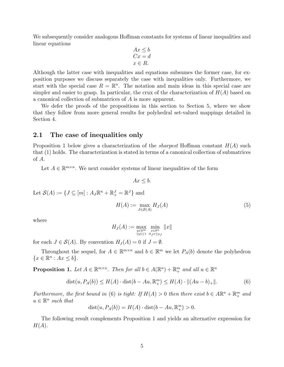We subsequently consider analogous Hoffman constants for systems of linear inequalities and linear equations

$$
Ax \leq b
$$
  
\n
$$
Cx = d
$$
  
\n
$$
x \in R.
$$

Although the latter case with inequalities and equations subsumes the former case, for exposition purposes we discuss separately the case with inequalities only. Furthermore, we start with the special case  $R = \mathbb{R}^n$ . The notation and main ideas in this special case are simpler and easier to grasp. In particular, the crux of the characterization of  $H(A)$  based on a canonical collection of submatrices of A is more apparent.

We defer the proofs of the propositions in this section to Section 5, where we show that they follow from more general results for polyhedral set-valued mappings detailed in Section 4.

#### 2.1 The case of inequalities only

Proposition 1 below gives a characterization of the *sharpest* Hoffman constant  $H(A)$  such that (1) holds. The characterization is stated in terms of a canonical collection of submatrices of A.

Let  $A \in \mathbb{R}^{m \times n}$ . We next consider systems of linear inequalities of the form

$$
Ax \leq b.
$$

Let  $\mathcal{S}(A) := \{ J \subseteq [m] : A_J \mathbb{R}^n + \mathbb{R}_+^J = \mathbb{R}^J \}$  and

$$
H(A) := \max_{J \in \mathcal{S}(A)} H_J(A) \tag{5}
$$

where

$$
H_J(A) := \max_{\substack{y \in \mathbb{R}^m \\ \|y\| \le 1}} \min_{\substack{x \in \mathbb{R}^n \\ A_J x \le y_J}} \|x\|
$$

for each  $J \in \mathcal{S}(A)$ . By convention  $H_J(A) = 0$  if  $J = \emptyset$ .

Throughout the sequel, for  $A \in \mathbb{R}^{m \times n}$  and  $b \in \mathbb{R}^m$  we let  $P_A(b)$  denote the polyhedron  $\{x \in \mathbb{R}^n : Ax \leq b\}.$ 

**Proposition 1.** Let  $A \in \mathbb{R}^{m \times n}$ . Then for all  $b \in A(\mathbb{R}^n) + \mathbb{R}^m_+$  and all  $u \in \mathbb{R}^n$ 

$$
dist(u, P_A(b)) \le H(A) \cdot dist(b - Au, \mathbb{R}_+^m) \le H(A) \cdot ||(Au - b)_+||. \tag{6}
$$

Furthermore, the first bound in (6) is tight: If  $H(A) > 0$  then there exist  $b \in A \mathbb{R}^n + \mathbb{R}^m_+$  and  $u \in \mathbb{R}^n$  such that

$$
dist(u, P_A(b)) = H(A) \cdot dist(b - Au, \mathbb{R}^m_+) > 0.
$$

The following result complements Proposition 1 and yields an alternative expression for  $H(A).$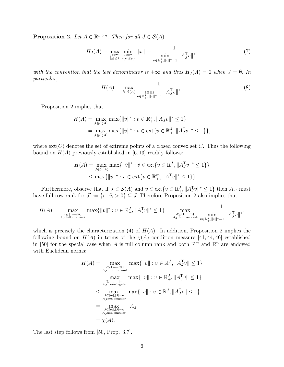**Proposition 2.** Let  $A \in \mathbb{R}^{m \times n}$ . Then for all  $J \in \mathcal{S}(A)$ 

$$
H_J(A) = \max_{\substack{y \in \mathbb{R}^m \\ \|y\| \le 1}} \min_{\substack{x \in \mathbb{R}^n \\ A_J x \le y_J}} \|x\| = \frac{1}{\min_{v \in \mathbb{R}_+^J, \|v\|^* = 1}} \|A_J^T v\|^*,\tag{7}
$$

with the convention that the last denominator is  $+\infty$  and thus  $H_J(A) = 0$  when  $J = \emptyset$ . In particular,

$$
H(A) = \max_{J \in \mathcal{S}(A)} \frac{1}{\min_{v \in \mathbb{R}_+^J, ||v||^* = 1} ||A_J^T v||^*}.
$$
\n(8)

Proposition 2 implies that

$$
H(A) = \max_{J \in \mathcal{S}(A)} \max\{ ||v||^* : v \in \mathbb{R}_+^J, ||A_J^T v||^* \le 1 \}
$$
  
= 
$$
\max_{J \in \mathcal{S}(A)} \max\{ ||\tilde{v}||^* : \tilde{v} \in \text{ext}\{v \in \mathbb{R}_+^J, ||A_J^T v||^* \le 1 \} \},
$$

where  $ext(C)$  denotes the set of extreme points of a closed convex set C. Thus the following bound on  $H(A)$  previously established in [6,13] readily follows:

$$
H(A) = \max_{J \in \mathcal{S}(A)} \max \{ ||\tilde{v}||^* : \tilde{v} \in \text{ext}\{v \in \mathbb{R}^J_+, ||A_J^T v||^* \le 1\} \}
$$
  

$$
\le \max \{ ||\tilde{v}||^* : \tilde{v} \in \text{ext}\{v \in \mathbb{R}^m_+, ||A^T v||^* \le 1\} \}.
$$

Furthermore, observe that if  $J \in \mathcal{S}(A)$  and  $\tilde{v} \in \text{ext}\{v \in \mathbb{R}^J_+, ||A_J^{\mathsf{T}}v||^* \leq 1\}$  then  $A_{J'}$  must have full row rank for  $J' := \{i : \tilde{v}_i > 0\} \subseteq J$ . Therefore Proposition 2 also implies that

$$
H(A) = \max_{\substack{J \subseteq \{1,\ldots,m\} \\ A_J \text{ full row rank}}} \max\{\|v\|^* : v \in \mathbb{R}^J_+, \|A_J^{\mathsf{T}}v\|^* \le 1\} = \max_{\substack{J \subseteq \{1,\ldots,m\} \\ A_J \text{ full row rank}}} \frac{1}{\min_{v \in \mathbb{R}^J_+, \|v\|^* = 1} \|A_J^{\mathsf{T}}v\|^*},
$$

which is precisely the characterization (4) of  $H(A)$ . In addition, Proposition 2 implies the following bound on  $H(A)$  in terms of the  $\chi(A)$  condition measure [41, 44, 46] established in [50] for the special case when A is full column rank and both  $\mathbb{R}^m$  and  $\mathbb{R}^n$  are endowed with Euclidean norms:

$$
H(A) = \max_{J \subseteq \{1, ..., m\} \atop A_J \text{ full row rank}} \max\{\|v\| : v \in \mathbb{R}_+^J, \|A_J^T v\| \le 1\}
$$
  
= 
$$
\max_{J \subseteq [m], |J| = n \atop A_J \text{ non-singular}} \max\{\|v\| : v \in \mathbb{R}_+^J, \|A_J^T v\| \le 1\}
$$
  

$$
\le \max_{J \subseteq [m], |J| = n \atop A_J \text{ non-singular}} \max\{\|v\| : v \in \mathbb{R}^J, \|A_J^T v\| \le 1\}
$$
  
= 
$$
\max_{J \subseteq [m], |J| = n \atop A_J \text{ non-singular}} \|A_J^{-1}\|
$$
  
= 
$$
\chi(A).
$$

The last step follows from [50, Prop. 3.7].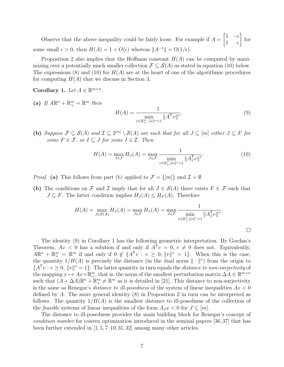Observe that the above inequality could be fairly loose. For example if  $A =$  $\begin{bmatrix} 1 & -\epsilon \end{bmatrix}$ 1  $\epsilon$ 1 for some small  $\epsilon > 0$ , then  $H(A) = 1 + O(\epsilon)$  whereas  $||A^{-1}|| = \Omega(1/\epsilon)$ .

Proposition 2 also implies that the Hoffman constant  $H(A)$  can be computed by maximizing over a potentially much smaller collection  $\mathcal{F} \subseteq \mathcal{S}(A)$  as stated in equation (10) below. The expressions (8) and (10) for  $H(A)$  are at the heart of one of the algorithmic procedures for computing  $H(A)$  that we discuss in Section 3.

Corollary 1. Let  $A \in \mathbb{R}^{m \times n}$ .

(a) If  $A\mathbb{R}^n + \mathbb{R}^m_+ = \mathbb{R}^m$  then

$$
H(A) = \frac{1}{\min_{v \in \mathbb{R}_+^m, \|v\|^* = 1} \|A^{\mathsf{T}} v\|^*}.
$$
\n(9)

(b) Suppose  $\mathcal{F} \subseteq \mathcal{S}(A)$  and  $\mathcal{I} \subseteq 2^{[m]} \setminus \mathcal{S}(A)$  are such that for all  $J \subseteq [m]$  either  $J \subseteq F$  for some  $F \in \mathcal{F}$ , or  $I \subseteq J$  for some  $I \in \mathcal{I}$ . Then

$$
H(A) = \max_{J \in \mathcal{F}} H_J(A) = \max_{J \in \mathcal{F}} \frac{1}{\min_{v \in \mathbb{R}_+^J, ||v||^* = 1} ||A_J^T v||^*}.
$$
 (10)

*Proof.* (a) This follows from part (b) applied to  $\mathcal{F} = \{[m]\}\$  and  $\mathcal{I} = \emptyset$ .

(b) The conditions on F and I imply that for all  $J \in S(A)$  there exists  $F \in \mathcal{F}$  such that  $J \subseteq F$ . The latter condition implies  $H_J(A) \leq H_F(A)$ . Therefore

$$
H(A) = \max_{J \in \mathcal{S}(A)} H_J(A) = \max_{J \in \mathcal{F}} H_J(A) = \max_{J \in \mathcal{F}} \frac{1}{\min_{v \in \mathbb{R}_+^J, ||v||^* = 1} ||A_J^T v||^*}.
$$

The identity (9) in Corollary 1 has the following geometric interpretation. By Gordan's Theorem,  $Ax < 0$  has a solution if and only if  $A^T v = 0$ ,  $v \neq 0$  does not. Equivalently,  $A\mathbb{R}^n + \mathbb{R}^m_+ = \mathbb{R}^m$  if and only if  $0 \notin \{A^{\mathsf{T}}v : v \geq 0, ||v||^* = 1\}$ . When this is the case, the quantity  $1/H(A)$  is precisely the distance (in the dual norm  $\|\cdot\|^*$ ) from the origin to  ${A}^{\mathsf{T}}v : v \geq 0, ||v||^* = 1$ . The latter quantity in turn equals the *distance to non-surjectivity* of the mapping  $x \mapsto Ax + \mathbb{R}^m_+$ , that is, the norm of the smallest perturbation matrix  $\Delta A \in \mathbb{R}^{m \times n}$ such that  $(A + \Delta A)\mathbb{R}^n + \mathbb{R}^m + \mathbb{R}^m$  as it is detailed in [21]. This distance to non-surjectivity is the same as Renegar's *distance to ill-posedness* of the system of linear inequalities  $Ax < 0$ defined by A. The more general identity (8) in Proposition 2 in turn can be interpreted as follows. The quantity  $1/H(A)$  is the smallest distance to ill-posedness of the collection of the *feasible* systems of linear inequalities of the form  $A_J x < 0$  for  $J \subseteq [m]$ .

The distance to ill-posedness provides the main building block for Renegar's concept of condition number for convex optimization introduced in the seminal papers [36, 37] that has been further extended in  $[1, 5, 7-10, 31, 32]$  among many other articles.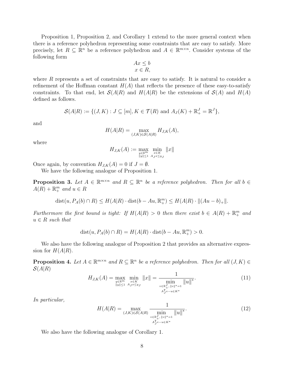Proposition 1, Proposition 2, and Corollary 1 extend to the more general context when there is a reference polyhedron representing some constraints that are easy to satisfy. More precisely, let  $R \subseteq \mathbb{R}^n$  be a reference polyhedron and  $A \in \mathbb{R}^{m \times n}$ . Consider systems of the following form

$$
Ax \leq b
$$

$$
x \in R,
$$

where  $R$  represents a set of constraints that are easy to satisfy. It is natural to consider a refinement of the Hoffman constant  $H(A)$  that reflects the presence of these easy-to-satisfy constraints. To that end, let  $\mathcal{S}(A|R)$  and  $H(A|R)$  be the extensions of  $\mathcal{S}(A)$  and  $H(A)$ defined as follows.

$$
\mathcal{S}(A|R) := \{ (J,K) : J \subseteq [m], K \in \mathcal{T}(R) \text{ and } A_J(K) + \mathbb{R}_+^J = \mathbb{R}^J \},
$$

and

$$
H(A|R) = \max_{(J,K)\in\mathcal{S}(A|R)} H_{J,K}(A),
$$

where

$$
H_{J,K}(A) := \max_{\substack{y \in \mathbb{R}^m \\ \|y\| \le 1}} \min_{\substack{x \in K \\ A_J x \le y_J}} \|x\|
$$

Once again, by convention  $H_{J,K}(A) = 0$  if  $J = \emptyset$ .

We have the following analogue of Proposition 1.

**Proposition 3.** Let  $A \in \mathbb{R}^{m \times n}$  and  $R \subseteq \mathbb{R}^n$  be a reference polyhedron. Then for all  $b \in \mathbb{R}^n$  $A(R) + \mathbb{R}^m_+$  and  $u \in R$ 

$$
dist(u, P_A(b) \cap R) \leq H(A|R) \cdot dist(b - Au, \mathbb{R}_+^m) \leq H(A|R) \cdot ||(Au - b)_+||.
$$

Furthermore the first bound is tight: If  $H(A|R) > 0$  then there exist  $b \in A(R) + \mathbb{R}_{+}^{m}$  and  $u \in R$  such that

$$
dist(u, P_A(b) \cap R) = H(A|R) \cdot dist(b - Au, \mathbb{R}_+^m) > 0.
$$

We also have the following analogue of Proposition 2 that provides an alternative expression for  $H(A|R)$ .

**Proposition 4.** Let  $A \in \mathbb{R}^{m \times n}$  and  $R \subseteq \mathbb{R}^n$  be a reference polyhedron. Then for all  $(J, K) \in$  $\mathcal{S}(A|R)$ 

$$
H_{J,K}(A) = \max_{\substack{y \in \mathbb{R}^m \\ \|y\| \le 1}} \min_{\substack{x \in K \\ A_J x \le y_J}} \|x\| = \frac{1}{\min_{\substack{v \in \mathbb{R}_+^J, \|v\|^* = 1 \\ A_J^T v - u \in K^*}} \|u\|^*}.
$$
 (11)

In particular,

$$
H(A|R) = \max_{(J,K)\in\mathcal{S}(A|R)} \frac{1}{\min_{\substack{v\in\mathbb{R}_{+}^J, \|v\|^*=1\\A_J^T v - u\in K^*}} \|u\|^*}.
$$
 (12)

We also have the following analogue of Corollary 1.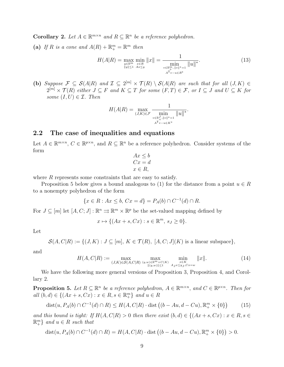**Corollary 2.** Let  $A \in \mathbb{R}^{m \times n}$  and  $R \subseteq \mathbb{R}^n$  be a reference polyhedron.

(a) If R is a cone and  $A(R) + \mathbb{R}^m_+ = \mathbb{R}^m$  then

$$
H(A|R) = \max_{\substack{y \in \mathbb{R}^m \\ \|y\| \le 1}} \min_{\substack{x \in R \\ Ax \le y}} \|x\| = \frac{1}{\min_{\substack{v \in \mathbb{R}_+^m, \|v\|^* = 1 \\ A^{\mathsf{T}} v - u \in R^*}} \|u\|^*}.
$$
 (13)

(b) Suppose  $\mathcal{F} \subseteq \mathcal{S}(A|R)$  and  $\mathcal{I} \subseteq 2^{[m]} \times \mathcal{T}(R) \setminus \mathcal{S}(A|R)$  are such that for all  $(J, K) \in$  $2^{[m]} \times \mathcal{T}(R)$  either  $J \subseteq F$  and  $K \subseteq T$  for some  $(F, T) \in \mathcal{F}$ , or  $I \subseteq J$  and  $U \subseteq K$  for some  $(I, U) \in \mathcal{I}$ . Then

$$
H(A|R) = \max_{(J,K)\in\mathcal{F}} \frac{1}{\min_{\substack{v\in\mathbb{R}_+^J, ||v||^*=1 \\ A^{\mathsf{T}}v-u\in K^*}} ||u||^*}.
$$

#### 2.2 The case of inequalities and equations

Let  $A \in \mathbb{R}^{m \times n}$ ,  $C \in \mathbb{R}^{p \times n}$ , and  $R \subseteq \mathbb{R}^n$  be a reference polyhedron. Consider systems of the form

$$
Ax \le b
$$
  
\n
$$
Cx = d
$$
  
\n
$$
x \in R,
$$

where  $R$  represents some constraints that are easy to satisfy.

Proposition 5 below gives a bound analogous to (1) for the distance from a point  $u \in R$ to a nonempty polyhedron of the form

$$
\{x \in R : Ax \le b, Cx = d\} = P_A(b) \cap C^{-1}(d) \cap R.
$$

For  $J \subseteq [m]$  let  $[A, C; J] : \mathbb{R}^n \Rightarrow \mathbb{R}^m \times \mathbb{R}^p$  be the set-valued mapping defined by

$$
x \mapsto \{ (Ax + s, Cx) : s \in \mathbb{R}^m, s_J \ge 0 \}.
$$

Let

$$
\mathcal{S}(A, C|R) := \{ (J, K) : J \subseteq [m], K \in \mathcal{T}(R), [A, C, J](K) \text{ is a linear subspace} \},
$$

and

$$
H(A, C|R) := \max_{(J,K)\in\mathcal{S}(A, C|R)} \max_{(y,w)\in\mathbb{R}^m \times C(K)} \min_{\substack{x \in K \\ \|y,w\| \le 1}} \|x\|.
$$
 (14)

We have the following more general versions of Proposition 3, Proposition 4, and Corollary 2.

**Proposition 5.** Let  $R \subseteq \mathbb{R}^n$  be a reference polyhedron,  $A \in \mathbb{R}^{m \times n}$ , and  $C \in \mathbb{R}^{p \times n}$ . Then for  $all (b, d) ∈ \{(Ax + s, Cx) : x ∈ R, s ∈ \mathbb{R}_{+}^{m}\}$  and  $u ∈ R$ 

$$
\operatorname{dist}(u, P_A(b) \cap C^{-1}(d) \cap R) \le H(A, C|R) \cdot \operatorname{dist}((b - Au, d - Cu), \mathbb{R}_+^m \times \{0\}) \tag{15}
$$

and this bound is tight: If  $H(A, C|R) > 0$  then there exist  $(b, d) \in \{(Ax + s, Cx) : x \in R, s \in \mathbb{R}\}$  $\mathbb{R}^m_+$  and  $u \in R$  such that

$$
dist(u, P_A(b) \cap C^{-1}(d) \cap R) = H(A, C|R) \cdot dist((b - Au, d - Cu), \mathbb{R}_+^m \times \{0\}) > 0.
$$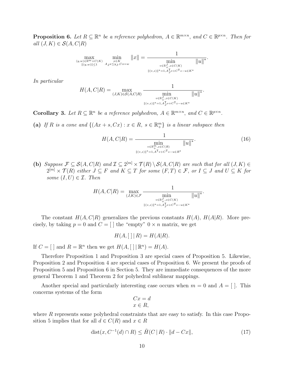**Proposition 6.** Let  $R \subseteq \mathbb{R}^n$  be a reference polyhedron,  $A \in \mathbb{R}^{m \times n}$ , and  $C \in \mathbb{R}^{p \times n}$ . Then for all  $(J, K) \in \mathcal{S}(A, C|R)$ 

$$
\max_{\substack{(y,w)\in \mathbb{R}^m\times C(K)\\ \|(y,w)\|\leq 1}} \ \min_{\substack{x\in K\\ A_Jx\leq y_J,Cx=w}} \|x\| = \frac{1}{\min_{\substack{v\in \mathbb{R}^J_+,z\in C(K)\\ \|v,z\|\|^{*}=1, A_J^Tv+C^\intercal z-u\in K^*}} \|u\|^*}.
$$

In particular

$$
H(A, C|R) = \max_{(J,K)\in\mathcal{S}(A, C|R)} \frac{1}{\min_{\substack{v\in\mathbb{R}^J_+, z\in C(K)\\||(v,z)||^*=1, A_J^T v+C^T z-u\in K^*}} \|u\|^*}.
$$

**Corollary 3.** Let  $R \subseteq \mathbb{R}^n$  be a reference polyhedron,  $A \in \mathbb{R}^{m \times n}$ , and  $C \in \mathbb{R}^{p \times n}$ .

(a) If R is a cone and  $\{(Ax + s, Cx) : x \in R, s \in \mathbb{R}_{+}^{m}\}\$ is a linear subspace then

$$
H(A, C|R) = \frac{1}{\min_{\substack{v \in \mathbb{R}_+^m, z \in C(R) \\ ||(v,z)||^* = 1, A^{\mathsf{T}} v + C^{\mathsf{T}} z - u \in R^*}} ||u||^*}.
$$
 (16)

(b) Suppose  $\mathcal{F} \subseteq \mathcal{S}(A, C | R)$  and  $\mathcal{I} \subseteq 2^{[m]} \times \mathcal{T}(R) \setminus \mathcal{S}(A, C | R)$  are such that for all  $(J, K) \in$  $2^{[m]} \times \mathcal{T}(R)$  either  $J \subseteq F$  and  $K \subseteq T$  for some  $(F,T) \in \mathcal{F}$ , or  $I \subseteq J$  and  $U \subseteq K$  for some  $(I, U) \in \mathcal{I}$ . Then

$$
H(A, C|R) = \max_{(J,K)\in\mathcal{F}} \frac{1}{\min_{\substack{v\in\mathbb{R}^J_+, z\in C(K)\\ \|\varepsilon v, z\|^* = 1, A^T_y v + C^T z - u\in K^*}} \|u\|^*}.
$$

The constant  $H(A, C|R)$  generalizes the previous constants  $H(A)$ ,  $H(A|R)$ . More precisely, by taking  $p = 0$  and  $C = \lceil \cdot \rceil$  the "empty"  $0 \times n$  matrix, we get

$$
H(A, [ \; ] \mid R) = H(A|R).
$$

If  $C = [ \ ]$  and  $R = \mathbb{R}^n$  then we get  $H(A, [ \ ] | \mathbb{R}^n) = H(A)$ .

Therefore Proposition 1 and Proposition 3 are special cases of Proposition 5. Likewise, Proposition 2 and Proposition 4 are special cases of Proposition 6. We present the proofs of Proposition 5 and Proposition 6 in Section 5. They are immediate consequences of the more general Theorem 1 and Theorem 2 for polyhedral sublinear mappings.

Another special and particularly interesting case occurs when  $m = 0$  and  $A = []$ . This concerns systems of the form

$$
Cx = d
$$

$$
x \in R,
$$

where  $R$  represents some polyhedral constraints that are easy to satisfy. In this case Proposition 5 implies that for all  $d \in C(R)$  and  $x \in R$ 

$$
\text{dist}(x, C^{-1}(d) \cap R) \le \tilde{H}(C \mid R) \cdot \|d - Cx\|,\tag{17}
$$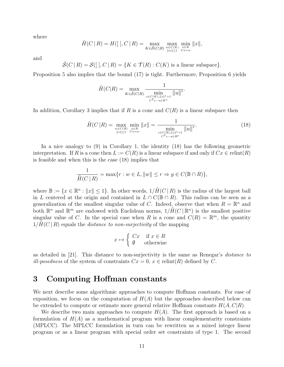where

$$
\tilde{H}(C \mid R) = H(\left[ \cdot, C \mid R \right]) = \max_{K \in \tilde{\mathcal{S}}(C \mid R)} \max_{w \in C(K) \atop \|w\| \le 1} \min_{\substack{x \in K \\ Cx = w}} \|x\|,
$$

and

$$
\tilde{\mathcal{S}}(C | R) = \mathcal{S}([ , C | R) = \{ K \in \mathcal{T}(R) : C(K) \text{ is a linear subspace} \}.
$$

Proposition 5 also implies that the bound (17) is tight. Furthermore, Proposition 6 yields

$$
\tilde{H}(C|R) = \max_{K \in \tilde{\mathcal{S}}(C|R)} \frac{1}{\min_{\substack{z \in C(K), ||z||^* = 1 \\ C^{\mathsf{T}} z - u \in K^*}} ||u||^*}.
$$

In addition, Corollary 3 implies that if R is a cone and  $C(R)$  is a linear subspace then

$$
\tilde{H}(C|R) = \max_{\substack{w \in C(R) \\ \|z\| \le 1}} \min_{\substack{x \in R \\ Cx = w}} \|x\| = \frac{1}{\min_{\substack{z \in C(R), \|z\|^* = 1 \\ C^{\mathsf{T}} z - u \in R^*}} \|u\|^*}.
$$
\n(18)

In a nice analogy to (9) in Corollary 1, the identity (18) has the following geometric interpretation. If R is a cone then  $L := C(R)$  is a linear subspace if and only if  $Cx \in \text{relint}(R)$ is feasible and when this is the case (18) implies that

$$
\frac{1}{\tilde{H}(C \mid R)} = \max\{r : w \in L, ||w|| \le r \Rightarrow y \in C(\mathbb{B} \cap R)\},\
$$

where  $\mathbb{B} := \{x \in \mathbb{R}^n : ||x|| \leq 1\}$ . In other words,  $1/\tilde{H}(C | R)$  is the radius of the largest ball in L centered at the origin and contained in  $L \cap C(\mathbb{B} \cap R)$ . This radius can be seen as a generalization of the smallest singular value of C. Indeed, observe that when  $R = \mathbb{R}^n$  and both  $\mathbb{R}^n$  and  $\mathbb{R}^m$  are endowed with Euclidean norms,  $1/\tilde{H}(C | \mathbb{R}^n)$  is the smallest positive singular value of C. In the special case when R is a cone and  $C(R) = \mathbb{R}^m$ , the quantity  $1/H(C | R)$  equals the *distance to non-surjectivity* of the mapping

$$
x \mapsto \begin{cases} Cx & \text{if } x \in R \\ \emptyset & \text{otherwise} \end{cases}
$$

as detailed in [21]. This distance to non-surjectivity is the same as Renegar's distance to *ill-posedness* of the system of constraints  $Cx = 0, x \in \text{relint}(R)$  defined by C.

## 3 Computing Hoffman constants

We next describe some algorithmic approaches to compute Hoffman constants. For ease of exposition, we focus on the computation of  $H(A)$  but the approaches described below can be extended to compute or estimate more general relative Hoffman constants  $H(A, C|R)$ .

We describe two main approaches to compute  $H(A)$ . The first approach is based on a formulation of  $H(A)$  as a mathematical program with linear complementarity constraints (MPLCC). The MPLCC formulation in turn can be rewritten as a mixed integer linear program or as a linear program with special order set constraints of type 1. The second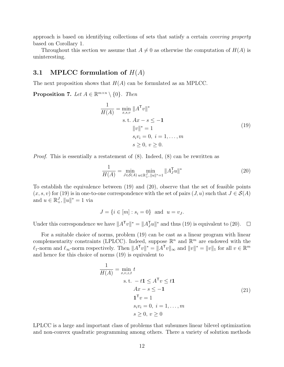approach is based on identifying collections of sets that satisfy a certain covering property based on Corollary 1.

Throughout this section we assume that  $A \neq 0$  as otherwise the computation of  $H(A)$  is uninteresting.

#### 3.1 MPLCC formulation of  $H(A)$

The next proposition shows that  $H(A)$  can be formulated as an MPLCC.

**Proposition 7.** Let  $A \in \mathbb{R}^{m \times n} \setminus \{0\}$ . Then

$$
\frac{1}{H(A)} = \min_{x,s,v} \|A^{\mathsf{T}}v\|^*
$$
\n
$$
\text{s.t. } Ax - s \le -1
$$
\n
$$
\|v\|^* = 1
$$
\n
$$
s_i v_i = 0, \ i = 1, ..., m
$$
\n
$$
s \ge 0, \ v \ge 0.
$$
\n(19)

*Proof.* This is essentially a restatement of  $(8)$ . Indeed,  $(8)$  can be rewritten as

$$
\frac{1}{H(A)} = \min_{J \in \mathcal{S}(A)} \min_{u \in \mathbb{R}_+^J, \|u\|^* = 1} \|A_J^\mathsf{T} u\|^* \tag{20}
$$

To establish the equivalence between (19) and (20), observe that the set of feasible points  $(x, s, v)$  for (19) is in one-to-one correspondence with the set of pairs  $(J, u)$  such that  $J \in \mathcal{S}(A)$ and  $u \in \mathbb{R}^J_+$ ,  $||u||^* = 1$  via

$$
J = \{ i \in [m] : s_i = 0 \} \text{ and } u = v_J.
$$

Under this correspondence we have  $||A^{\mathsf{T}}v||^* = ||A_J^{\mathsf{T}}u||^*$  and thus (19) is equivalent to (20).  $\overline{\phantom{a}}$ 

For a suitable choice of norms, problem (19) can be cast as a linear program with linear complementarity constraints (LPLCC). Indeed, suppose  $\mathbb{R}^n$  and  $\mathbb{R}^m$  are endowed with the  $\ell_1$ -norm and  $\ell_\infty$ -norm respectively. Then  $||A^T v||^* = ||A^T v||_{\infty}$  and  $||v||^* = ||v||_1$  for all  $v \in \mathbb{R}^m$ and hence for this choice of norms (19) is equivalent to

$$
\frac{1}{H(A)} = \min_{x,v,z,t} t
$$
  
s.t.  $-t\mathbf{1} \le A^{\mathsf{T}} v \le t\mathbf{1}$   

$$
Ax - s \le -\mathbf{1}
$$
  

$$
\mathbf{1}^{\mathsf{T}} v = 1
$$
  

$$
s_i v_i = 0, i = 1,..., m
$$
  

$$
s \ge 0, v \ge 0
$$
 (21)

LPLCC is a large and important class of problems that subsumes linear bilevel optimization and non-convex quadratic programming among others. There a variety of solution methods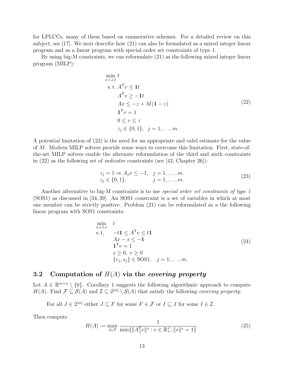for LPLCCs, many of them based on enumerative schemes. For a detailed review on this subject, see [17]. We next describe how (21) can also be formulated as a mixed integer linear program and as a linear program with special order set constraints of type 1.

By using big-M constraints, we can reformulate (21) as the following mixed integer linear program (MILP):

$$
\min_{x,v,z,t} t
$$
\n
$$
\text{s.t. } A^{\mathsf{T}}v \le \mathbf{1}t
$$
\n
$$
A^{\mathsf{T}}v \ge -\mathbf{1}t
$$
\n
$$
Ax \le -z + M(\mathbf{1} - z)
$$
\n
$$
\mathbf{1}^{\mathsf{T}}v = 1
$$
\n
$$
0 \le v \le z
$$
\n
$$
z_j \in \{0,1\}, \ j = 1, \dots, m.
$$
\n(22)

A potential limitation of (22) is the need for an appropriate and valid estimate for the value of M. Modern MILP solvers provide some ways to overcome this limitation. First, state-ofthe-art MILP solvers enable the alternate reformulation of the third and sixth constraints in  $(22)$  as the following set of *indicator* constraints (see [42, Chapter 26]):

$$
z_j = 1 \Rightarrow A_j x \le -1, \quad j = 1, ..., m.
$$
  
\n
$$
z_j \in \{0, 1\}, \qquad j = 1, ..., m.
$$
  
\n(23)

Another alternative to big-M constraints is to use special order set constraints of type 1 (SOS1) as discussed in [34, 39]. An SOS1 constraint is a set of variables in which at most one member can be strictly positive. Problem (21) can be reformulated as a the following linear program with SOS1 constraints:

$$
\min_{x,v,t,s} \quad t
$$
\n
$$
\text{s.t.} \quad -t\mathbf{1} \le A^{\mathsf{T}}v \le t\mathbf{1}
$$
\n
$$
Ax - s \le -\mathbf{1}
$$
\n
$$
\mathbf{1}^{\mathsf{T}}v = 1
$$
\n
$$
s \ge 0, \ v \ge 0
$$
\n
$$
\{v_j, s_j\} \in \text{SOS1}, \quad j = 1, \dots, m.
$$
\n(24)

#### 3.2 Computation of  $H(A)$  via the covering property

Let  $A \in \mathbb{R}^{m \times n} \setminus \{0\}$ . Corollary 1 suggests the following algorithmic approach to compute  $H(A)$ . Find  $\mathcal{F} \subseteq \mathcal{S}(A)$  and  $\mathcal{I} \subseteq 2^{[m]} \setminus \mathcal{S}(A)$  that satisfy the following covering property:

For all  $J \in 2^{[m]}$  either  $J \subseteq F$  for some  $F \in \mathcal{F}$  or  $I \subseteq J$  for some  $I \in \mathcal{I}$ .

Then compute

$$
H(A) := \max_{J \in \mathcal{F}} \frac{1}{\min\{\|A_J^{\mathsf{T}} v\|^* : v \in \mathbb{R}_+^J, \|v\|^* = 1\}}.
$$
\n(25)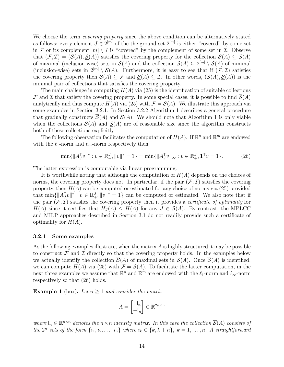We choose the term *covering property* since the above condition can be alternatively stated as follows: every element  $J \in 2^{[m]}$  of the the ground set  $2^{[m]}$  is either "covered" by some set in F or its complement  $[m] \setminus J$  is "covered" by the complement of some set in I. Observe that  $(\mathcal{F}, \mathcal{I}) = (\mathcal{S}(A), \mathcal{S}(A))$  satisfies the covering property for the collection  $\mathcal{S}(A) \subseteq \mathcal{S}(A)$ of maximal (inclusion-wise) sets in  $\mathcal{S}(A)$  and the collection  $\underline{\mathcal{S}}(A) \subseteq 2^{[m]} \setminus \mathcal{S}(A)$  of minimal (inclusion-wise) sets in  $2^{[m]} \setminus \mathcal{S}(A)$ . Furthermore, it is easy to see that if  $(\mathcal{F}, \mathcal{I})$  satisfies the covering property then  $\overline{S}(A) \subseteq \mathcal{F}$  and  $\mathcal{S}(A) \subseteq \mathcal{I}$ . In other words,  $(\overline{S}(A), S(A))$  is the minimal pair of collections that satisfies the covering property.

The main challenge in computing  $H(A)$  via (25) is the identification of suitable collections  $\mathcal F$  and  $\mathcal I$  that satisfy the covering property. In some special cases, it is possible to find  $\mathcal S(A)$ analytically and thus compute  $H(A)$  via (25) with  $\mathcal{F} = \overline{\mathcal{S}}(A)$ . We illustrate this approach via some examples in Section 3.2.1. In Section 3.2.2 Algorithm 1 describes a general procedure that gradually constructs  $\overline{S}(A)$  and  $S(A)$ . We should note that Algorithm 1 is only viable when the collections  $\overline{S}(A)$  and  $S(A)$  are of reasonable size since the algorithm constructs both of these collections explicitly.

The following observation facilitates the computation of  $H(A)$ . If  $\mathbb{R}^n$  and  $\mathbb{R}^m$  are endowed with the  $\ell_1$ -norm and  $\ell_{\infty}$ -norm respectively then

 $\min\{\|A_J^{\mathsf{T}}v\|^* : v \in \mathbb{R}_+^J, \|v\|^* = 1\} = \min\{\|A_J^{\mathsf{T}}v\|_{\infty} : v \in \mathbb{R}_+^J, \mathbf{1}^{\mathsf{T}}v = 1\}.$  (26)

The latter expression is computable via linear programming.

It is worthwhile noting that although the computation of  $H(A)$  depends on the choices of norms, the covering property does not. In particular, if the pair  $(\mathcal{F}, \mathcal{I})$  satisfies the covering property, then  $H(A)$  can be computed or estimated for any choice of norms via (25) provided that  $\min\{\|A_J^Tv\|^* : v \in \mathbb{R}^J_+, \|v\|^* = 1\}$  can be computed or estimated. We also note that if the pair  $(F, \mathcal{I})$  satisfies the covering property then it provides a *certificate of optimality* for  $H(A)$  since it certifies that  $H_J(A) \leq H(A)$  for any  $J \in \mathcal{S}(A)$ . By contrast, the MPLCC and MILP approaches described in Section 3.1 do not readily provide such a certificate of optimality for  $H(A)$ .

#### 3.2.1 Some examples

As the following examples illustrate, when the matrix  $A$  is highly structured it may be possible to construct  $\mathcal F$  and  $\mathcal I$  directly so that the covering property holds. In the examples below we actually identify the collection  $\overline{S}(A)$  of maximal sets in  $S(A)$ . Once  $\overline{S}(A)$  is identified, we can compute  $H(A)$  via (25) with  $\mathcal{F} = \overline{\mathcal{S}}(A)$ . To facilitate the latter computation, in the next three examples we assume that  $\mathbb{R}^n$  and  $\mathbb{R}^m$  are endowed with the  $\ell_1$ -norm and  $\ell_{\infty}$ -norm respectively so that (26) holds.

**Example 1** (box). Let  $n \geq 1$  and consider the matrix

$$
A = \begin{bmatrix} \mathsf{I}_n \\ -\mathsf{I}_n \end{bmatrix} \in \mathbb{R}^{2n \times n}
$$

where  $I_n \in \mathbb{R}^{n \times n}$  denotes the  $n \times n$  identity matrix. In this case the collection  $\overline{S}(A)$  consists of the  $2^n$  sets of the form  $\{i_1, i_2, \ldots, i_n\}$  where  $i_k \in \{k, k+n\}$ ,  $k = 1, \ldots, n$ . A straightforward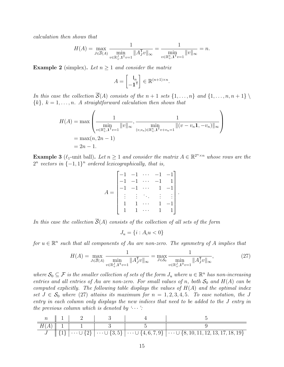calculation then shows that

$$
H(A) = \max_{J \in \overline{S}(A)} \frac{1}{\min_{v \in \mathbb{R}_+^J, \mathbf{1}^T v = 1} \|A_J^T v\|_{\infty}} = \frac{1}{\min_{v \in \mathbb{R}_+^n, \mathbf{1}^T v = 1} \|v\|_{\infty}} = n.
$$

**Example 2** (simplex). Let  $n \geq 1$  and consider the matrix

$$
A = \begin{bmatrix} \mathsf{I}_n \\ -\mathbf{1}^\mathsf{T} \end{bmatrix} \in \mathbb{R}^{(n+1)\times n}.
$$

In this case the collection  $\overline{S}(A)$  consists of the  $n+1$  sets  $\{1,\ldots,n\}$  and  $\{1,\ldots,n,n+1\}$  ${k}, k = 1, \ldots, n$ . A straightforward calculation then shows that

$$
H(A) = \max \left( \frac{1}{\min_{v \in \mathbb{R}_+^n, \mathbf{1}^T v = 1} ||v||_{\infty}}, \frac{1}{(\min_{v, v_n) \in \mathbb{R}_+^n, \mathbf{1}^T v + v_n = 1} ||(v - v_n \mathbf{1}, -v_n)||_{\infty}} \right)
$$
  
=  $\max(n, 2n - 1)$   
=  $2n - 1$ .

**Example 3** ( $\ell_1$ -unit ball). Let  $n \geq 1$  and consider the matrix  $A \in \mathbb{R}^{2^{n} \times n}$  whose rows are the  $2^n$  vectors in  $\{-1,1\}^n$  ordered lexicographically, that is,

$$
A = \begin{bmatrix} -1 & -1 & \cdots & -1 & -1 \\ -1 & -1 & \cdots & -1 & 1 \\ -1 & -1 & \cdots & 1 & -1 \\ \vdots & \vdots & \ddots & \vdots & \vdots \\ 1 & 1 & \cdots & 1 & -1 \\ 1 & 1 & \cdots & 1 & 1 \end{bmatrix}.
$$

In this case the collection  $\overline{S}(A)$  consists of the collection of all sets of the form

$$
J_u = \{i : A_i u < 0\}
$$

for  $u \in \mathbb{R}^n$  such that all components of Au are non-zero. The symmetry of A implies that

$$
H(A) = \max_{J \in \overline{S}(A)} \frac{1}{\min_{v \in \mathbb{R}_+^J, \mathbf{1}^T v = 1} \|A_J^T v\|_{\infty}} = \max_{J \in \mathcal{S}_0} \frac{1}{\min_{v \in \mathbb{R}_+^J, \mathbf{1}^T v = 1} \|A_J^T v\|_{\infty}},
$$
(27)

where  $S_0 \subseteq \mathcal{F}$  is the smaller collection of sets of the form  $J_u$  where  $u \in \mathbb{R}^n$  has non-increasing entries and all entries of Au are non-zero. For small values of n, both  $S_0$  and  $H(A)$  can be computed explicitly. The following table displays the values of  $H(A)$  and the optimal index set  $J \in \mathcal{S}_0$  where (27) attains its maximum for  $n = 1, 2, 3, 4, 5$ . To ease notation, the J entry in each column only displays the new indices that need to be added to the J entry in the previous column which is denoted by  $\cdots$ :

|  | $n \parallel 1 \parallel 2 \parallel$      |  |                                                                                                                                              |
|--|--------------------------------------------|--|----------------------------------------------------------------------------------------------------------------------------------------------|
|  | $H(A) \parallel 1 \parallel 1 \parallel 3$ |  |                                                                                                                                              |
|  |                                            |  | $J \parallel \{1\} \mid \cdots \cup \{2\} \mid \cdots \cup \{3,5\} \mid \cdots \cup \{4,6,7,9\} \mid \cdots \cup \{8,10,11,12,13,17,18,19\}$ |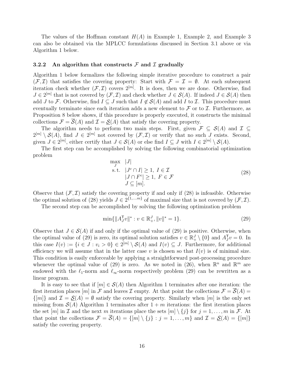The values of the Hoffman constant  $H(A)$  in Example 1, Example 2, and Example 3 can also be obtained via the MPLCC formulations discussed in Section 3.1 above or via Algorithm 1 below.

#### 3.2.2 An algorithm that constructs  $\mathcal F$  and  $\mathcal I$  gradually

Algorithm 1 below formalizes the following simple iterative procedure to construct a pair  $(\mathcal{F}, \mathcal{I})$  that satisfies the covering property: Start with  $\mathcal{F} = \mathcal{I} = \emptyset$ . At each subsequent iteration check whether  $(\mathcal{F}, \mathcal{I})$  covers  $2^{[m]}$ . It is does, then we are done. Otherwise, find  $J \in 2^{[m]}$  that is not covered by  $(\mathcal{F}, \mathcal{I})$  and check whether  $J \in \mathcal{S}(A)$ . If indeed  $J \in \mathcal{S}(A)$  then add J to F. Otherwise, find  $I \subseteq J$  such that  $I \notin \mathcal{S}(A)$  and add I to I. This procedure must eventually terminate since each iteration adds a new element to  $\mathcal F$  or to  $\mathcal I$ . Furthermore, as Proposition 8 below shows, if this procedure is properly executed, it constructs the minimal collections  $\mathcal{F} = \overline{\mathcal{S}}(A)$  and  $\mathcal{I} = \mathcal{S}(A)$  that satisfy the covering property.

The algorithm needs to perform two main steps. First, given  $\mathcal{F} \subseteq \mathcal{S}(A)$  and  $\mathcal{I} \subseteq$  $2^{[m]} \setminus \mathcal{S}(A)$ , find  $J \in 2^{[m]}$  not covered by  $(\mathcal{F}, \mathcal{I})$  or verify that no such J exists. Second, given  $J \in 2^{[m]}$ , either certify that  $J \in \mathcal{S}(A)$  or else find  $I \subseteq J$  with  $I \in 2^{[m]} \setminus \mathcal{S}(A)$ .

The first step can be accomplished by solving the following combinatorial optimization problem

$$
\max_{J} |J|
$$
  
s.t.  $|J^c \cap I| \ge 1, I \in \mathcal{I}$   
 $|J \cap F^c| \ge 1, F \in \mathcal{F}$   
 $J \subseteq [m].$  (28)

Observe that  $(F, \mathcal{I})$  satisfy the covering property if and only if (28) is infeasible. Otherwise the optimal solution of (28) yields  $J \in 2^{\{1,\dots m\}}$  of maximal size that is not covered by  $(\mathcal{F}, \mathcal{I})$ .

The second step can be accomplished by solving the following optimization problem

$$
\min\{\|A_J^{\mathsf{T}}v\|^* : v \in \mathbb{R}_+^J, \|v\|^* = 1\}.
$$
\n(29)

Observe that  $J \in \mathcal{S}(A)$  if and only if the optimal value of (29) is positive. Otherwise, when the optimal value of (29) is zero, its optimal solution satisfies  $v \in \mathbb{R}^J_+ \setminus \{0\}$  and  $A_J^{\mathsf{T}}v = 0$ . In this case  $I(v) := \{i \in J : v_i > 0\} \in 2^{[m]} \setminus \mathcal{S}(A)$  and  $I(v) \subseteq J$ . Furthermore, for additional efficiency we will assume that in the latter case  $v$  is chosen so that  $I(v)$  is of minimal size. This condition is easily enforceable by applying a straightforward post-processing procedure whenever the optimal value of (29) is zero. As we noted in (26), when  $\mathbb{R}^n$  and  $\mathbb{R}^m$  are endowed with the  $\ell_1$ -norm and  $\ell_{\infty}$ -norm respectively problem (29) can be rewritten as a linear program.

It is easy to see that if  $[m] \in \mathcal{S}(A)$  then Algorithm 1 terminates after one iteration: the first iteration places  $[m]$  in F and leaves I empty. At that point the collections  $\mathcal{F} = \overline{\mathcal{S}}(A)$  $\{|m|\}$  and  $\mathcal{I} = \mathcal{S}(A) = \emptyset$  satisfy the covering property. Similarly when  $[m]$  is the only set missing from  $\mathcal{S}(A)$  Algorithm 1 terminates after  $1 + m$  iterations: the first iteration places the set  $[m]$  in  $\mathcal I$  and the next m iterations place the sets  $[m] \setminus \{j\}$  for  $j = 1, \ldots, m$  in  $\mathcal F$ . At that point the collections  $\mathcal{F} = \overline{\mathcal{S}}(A) = \{[m] \setminus \{j\} : j = 1, \ldots, m\}$  and  $\mathcal{I} = \underline{\mathcal{S}}(A) = \{[m]\}$ satisfy the covering property.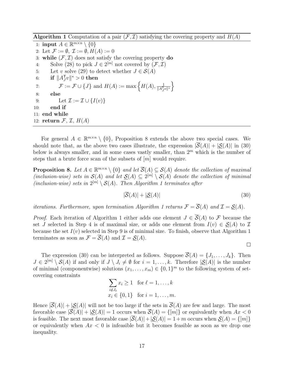**Algorithm 1** Computation of a pair  $(F, \mathcal{I})$  satisfying the covering property and  $H(A)$ 

1: **input**  $A \in \mathbb{R}^{m \times n} \setminus \{0\}$ 2: Let  $\mathcal{F} := \emptyset$ ,  $\mathcal{I} := \emptyset$ ,  $H(A) := 0$ 3: while  $(F, \mathcal{I})$  does not satisfy the covering property do 4: Solve (28) to pick  $J \in 2^{[m]}$  not covered by  $(\mathcal{F}, \mathcal{I})$ 5: Let v solve (29) to detect whether  $J \in \mathcal{S}(A)$ 6: if  $||A_J^Tv||^* > 0$  then 7:  $\mathcal{F} := \mathcal{F} \cup \{J\}$  and  $H(A) := \max \left\{ H(A), \frac{1}{\|A\|}\right\}$  $\frac{1}{\|A_J^{\mathsf{T}} v\|^*}$ 8: else 9: Let  $\mathcal{I} := \mathcal{I} \cup \{I(v)\}\$ 10: end if 11: end while 12: return  $\mathcal{F}, \mathcal{I}, H(A)$ 

For general  $A \in \mathbb{R}^{m \times n} \setminus \{0\}$ , Proposition 8 extends the above two special cases. We should note that, as the above two cases illustrate, the expression  $|\overline{S}(A)| + |\underline{S}(A)|$  in (30) below is always smaller, and in some cases vastly smaller, than  $2<sup>m</sup>$  which is the number of steps that a brute force scan of the subsets of  $[m]$  would require.

**Proposition 8.** Let  $A \in \mathbb{R}^{m \times n} \setminus \{0\}$  and let  $\overline{S}(A) \subseteq S(A)$  denote the collection of maximal (inclusion-wise) sets in  $\mathcal{S}(A)$  and let  $\underline{\mathcal{S}}(A) \subseteq 2^{[m]} \setminus \mathcal{S}(A)$  denote the collection of minimal (inclusion-wise) sets in  $2^{[m]} \setminus S(A)$ . Then Algorithm 1 terminates after

$$
|\overline{\mathcal{S}}(A)| + |\underline{\mathcal{S}}(A)|\tag{30}
$$

 $\Box$ 

iterations. Furthermore, upon termination Algorithm 1 returns  $\mathcal{F} = \overline{\mathcal{S}}(A)$  and  $\mathcal{I} = \mathcal{S}(A)$ .

*Proof.* Each iteration of Algorithm 1 either adds one element  $J \in \overline{S}(A)$  to F because the set J selected in Step 4 is of maximal size, or adds one element from  $I(v) \in S(A)$  to  $\mathcal I$ because the set  $I(v)$  selected in Step 9 is of minimal size. To finish, observe that Algorithm 1 terminates as soon as  $\mathcal{F} = \overline{\mathcal{S}}(A)$  and  $\mathcal{I} = \mathcal{S}(A)$ .

The expression (30) can be interpreted as follows. Suppose  $\overline{S}(A) = \{J_1, \ldots, J_k\}$ . Then  $J \in 2^{[m]} \setminus \mathcal{S}(A)$  if and only if  $J \setminus J_i \neq \emptyset$  for  $i = 1, \ldots, k$ . Therefore  $|\mathcal{S}(A)|$  is the number of minimal (componentwise) solutions  $(x_1, \ldots, x_m) \in \{0,1\}^m$  to the following system of setcovering constraints

$$
\sum_{i \notin J_{\ell}} x_i \ge 1 \quad \text{for } \ell = 1, \dots, k
$$
  

$$
x_i \in \{0, 1\} \quad \text{for } i = 1, \dots, m.
$$

Hence  $|\overline{\mathcal{S}}(A)| + |\mathcal{S}(A)|$  will not be too large if the sets in  $\overline{\mathcal{S}}(A)$  are few and large. The most favorable case  $|\overline{\mathcal{S}}(A)| + |\underline{\mathcal{S}}(A)| = 1$  occurs when  $\overline{\mathcal{S}}(A) = \{[m]\}\$  or equivalently when  $Ax < 0$ is feasible. The next most favorable case  $|\overline{S}(A)|+|S(A)|=1+m$  occurs when  $S(A)=\{[m]\}$ or equivalently when  $Ax < 0$  is infeasible but it becomes feasible as soon as we drop one inequality.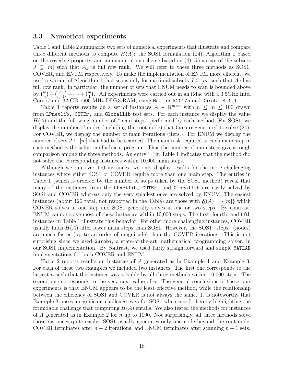#### 3.3 Numerical experiments

Table 1 and Table 2 summarize two sets of numerical experiments that illustrate and compare three different methods to compute  $H(A)$ : the SOS1 formulation (24), Algorithm 1 based on the covering property, and an enumeration scheme based on (4) via a scan of the subsets  $J \subseteq [m]$  such that  $A_J$  is full row rank. We will refer to these three methods as SOS1, COVER, and ENUM respectively. To make the implementation of ENUM more efficient, we used a variant of Algorithm 1 that scans only for maximal subsets  $J \subseteq |m|$  such that  $A_J$  has full row rank. In particular, the number of sets that ENUM needs to scan is bounded above by  $\binom{m}{n} + \binom{m}{n-1} + \cdots + \binom{m}{1}$ . All experiments were carried out in an iMac with a 3.5GHz Intel Core i7 and 32 GB 1600 MHz DDR3 RAM, using Matlab R2017b and Gurobi 8.1.1.

Table 1 reports results on a set of instances  $A \in \mathbb{R}^{m \times n}$  with  $n \leq m \leq 100$  drawn from LPnetlib, CUTEr, and Globallib test sets. For each instance we display the value  $H(A)$  and the following number of "main steps" performed by each method. For SOS1, we display the number of nodes (including the root node) that Gurobi generated to solve (24). For COVER, we display the number of main iterations (iters.). For ENUM we display the number of sets  $J \subseteq [m]$  that had to be scanned. The main task required at each main step in each method is the solution of a linear program. Thus the number of main steps give a rough comparison among the three methods. An entry '∗' in Table 1 indicates that the method did not solve the corresponding instances within 10,000 main steps.

Although we ran over 150 instances, we only display results for the more challenging instances where either SOS1 or COVER require more than one main step. The entries in Table 1 (which is ordered by the number of steps taken by the SOS1 method) reveal that many of the instances from the LPnetlib, CUTEr, and Globallib are easily solved by SOS1 and COVER whereas only the very smallest ones are solved by ENUM. The easiest instances (about 120 total, not resported in the Table) are those with  $S(A) = \{m\}$  which COVER solves in one step and SOS1 generally solves in one or two steps. By contrast, ENUM cannot solve most of these instances within 10,000 steps. The first, fourth, and fifth instances in Table 1 illustrate this behavior. For other more challenging instances, COVER usually finds  $H(A)$  after fewer main steps than SOS1. However, the SOS1 "steps" (nodes) are much faster (up to an order of magnitude) than the COVER iterations. This is not surprising since we used Gurobi, a state-of-the-art mathematical programming solver, in our SOS1 implementation. By contrast, we used fairly straightforward and simple MATLAB implementations for both COVER and ENUM.

Table 2 reports results on instances of A generated as in Example 1 and Example 3. For each of these two examples we included two instances. The first one corresponds to the largest  $n$  such that the instance was solvable by all three methods within 10,000 steps. The second one corresponds to the very next value of  $n$ . The general conclusions of these four experiments is that ENUM appears to be the least effective method, while the relationship between the efficiency of SOS1 and COVER is not always the same. It is noteworthy that Example 3 poses a significant challenge even for SOS1 when  $n = 5$  thereby highlighting the formidable challenge that computing  $H(A)$  entails. We also tested the methods for instances of A generated as in Example 2 for n up to 1000. Not surprisingly, all three methods solve those instances quite easily: SOS1 usually generates only one node beyond the root node, COVER terminates after  $n + 2$  iterations, and ENUM terminates after scanning  $n + 1$  sets.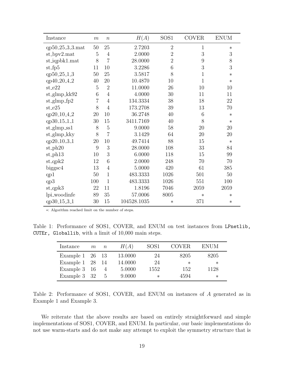| Instance                      | $\,m$          | $\boldsymbol{n}$ | H(A)        | SOS <sub>1</sub> | <b>COVER</b> | <b>ENUM</b> |
|-------------------------------|----------------|------------------|-------------|------------------|--------------|-------------|
| qp50_25_3_3.mat               | $50\,$         | 25               | 2.7203      | $\overline{2}$   | 1            | $\ast$      |
| st_bpv2.mat                   | $\overline{5}$ | 4                | 2.0000      | $\overline{2}$   | 3            | 3           |
| $st_iqpbk1$ .mat              | 8              | $\overline{7}$   | 28.0000     | $\overline{2}$   | 9            | 8           |
| $st_fp5$                      | 11             | 10               | 3.2286      | 6                | 3            | 3           |
| qp50_25_1_3                   | 50             | 25               | 3.5817      | 8                | $\mathbf 1$  | $\ast$      |
| qp40_20_4_2                   | 40             | 20               | 10.4870     | 10               | $\mathbf{1}$ | $\ast$      |
| $st_e22$                      | 5              | $\overline{2}$   | 11.0000     | 26               | 10           | 10          |
| $st_g$ lmp_kk $92$            | 6              | $\overline{4}$   | 4.0000      | 30               | 11           | 11          |
| $st_g$ lmp_fp2                | $\overline{7}$ | 4                | 134.3334    | 38               | 18           | 22          |
| $st_e25$                      | 8              | $\overline{4}$   | 173.2708    | 39               | 13           | 70          |
| qp20 <sub>-10-4-2</sub>       | 20             | 10               | 36.2748     | 40               | 6            | $\ast$      |
| qp30_15_1_1                   | 30             | 15               | 3411.7169   | 40               | 8            | $\ast$      |
| $st_g$ lmp_ss1                | 8              | 5                | 9.0000      | 58               | 20           | 20          |
| $st_g$ lmp_kky                | 8              | $\overline{7}$   | 3.1429      | 64               | 20           | 20          |
| qp20 <sub>-10-3-1</sub>       | 20             | 10               | 49.7414     | 88               | 15           | $\ast$      |
| $st$ -ph $20$                 | 9              | 3                | 28.0000     | 108              | 33           | 84          |
| $\mathrm{st}\text{-}$ ph $13$ | 10             | 3                | 6.0000      | 118              | 15           | 99          |
| $st_qpk2$                     | 12             | 6                | 2.0000      | 248              | 70           | 70          |
| biggsc4                       | 13             | 4                | 5.0000      | 420              | 61           | 385         |
| qp1                           | 50             | $\mathbf{1}$     | 483.3333    | 1026             | 501          | 50          |
| qp3                           | 100            | $\mathbf{1}$     | 483.3333    | 1026             | 551          | 100         |
| $st_qpk3$                     | 22             | 11               | 1.8196      | 7046             | 2059         | 2059        |
| lpi_woodinfe                  | 89             | 35               | 57.0006     | 8005             | $\ast$       | $\ast$      |
| qp30 <sub>-15-3-1</sub>       | 30             | 15               | 104528.1035 | $\ast$           | 371          | $\ast$      |

∗: Algorithm reached limit on the number of steps.

Table 1: Performance of SOS1, COVER, and ENUM on test instances from LPnetlib, CUTEr, Globallib, with a limit of 10,000 main steps.

| Instance                  | m | $n_{\rm}$ | H(A)    | SOS <sub>1</sub> | <b>COVER</b> | <b>ENUM</b> |
|---------------------------|---|-----------|---------|------------------|--------------|-------------|
| Example $1\quad26\quad13$ |   |           | 13.0000 | 24               | 8205         | 8205        |
| Example 1 28              |   | - 14      | 14.0000 | 24               | $\ast$       | $\ast$      |
| Example 3 16              |   | 4         | 5.0000  | 1552             | 152          | 1128        |
| Example 3 32              |   | h.        | 9.0000  | $^\ast$          | 4594         | ∗           |

Table 2: Performance of SOS1, COVER, and ENUM on instances of A generated as in Example 1 and Example 3.

We reiterate that the above results are based on entirely straightforward and simple implementations of SOS1, COVER, and ENUM. In particular, our basic implementations do not use warm-starts and do not make any attempt to exploit the symmetry structure that is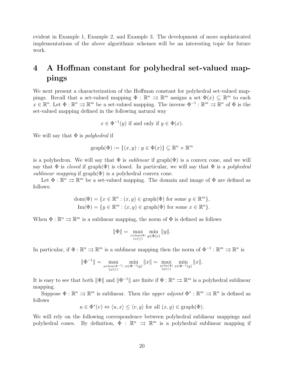evident in Example 1, Example 2, and Example 3. The development of more sophisticated implementations of the above algorithmic schemes will be an interesting topic for future work.

## 4 A Hoffman constant for polyhedral set-valued mappings

We next present a characterization of the Hoffman constant for polyhedral set-valued mappings. Recall that a set-valued mapping  $\Phi : \mathbb{R}^n \implies \mathbb{R}^m$  assigns a set  $\Phi(x) \subseteq \mathbb{R}^m$  to each  $x \in \mathbb{R}^n$ . Let  $\Phi : \mathbb{R}^n \rightrightarrows \mathbb{R}^m$  be a set-valued mapping. The inverse  $\Phi^{-1} : \mathbb{R}^m \rightrightarrows \mathbb{R}^n$  of  $\Phi$  is the set-valued mapping defined in the following natural way

 $x \in \Phi^{-1}(y)$  if and only if  $y \in \Phi(x)$ .

We will say that  $\Phi$  is *polyhedral* if

$$
graph(\Phi) := \{(x, y) : y \in \Phi(x)\} \subseteq \mathbb{R}^n \times \mathbb{R}^m
$$

is a polyhedron. We will say that  $\Phi$  is *sublinear* if graph( $\Phi$ ) is a convex cone, and we will say that  $\Phi$  is closed if graph( $\Phi$ ) is closed. In particular, we will say that  $\Phi$  is a polyhedral sublinear mapping if  $graph(\Phi)$  is a polyhedral convex cone.

Let  $\Phi : \mathbb{R}^n \Rightarrow \mathbb{R}^m$  be a set-valued mapping. The domain and image of  $\Phi$  are defined as follows:

dom(
$$
\Phi
$$
) = { $x \in \mathbb{R}^n : (x, y) \in \text{graph}(\Phi)$  for some  $y \in \mathbb{R}^m$ },  
Im( $\Phi$ ) = { $y \in \mathbb{R}^m : (x, y) \in \text{graph}(\Phi)$  for some  $x \in \mathbb{R}^n$ }.

When  $\Phi : \mathbb{R}^n \rightrightarrows \mathbb{R}^m$  is a sublinear mapping, the norm of  $\Phi$  is defined as follows

$$
\|\Phi\| = \max_{\substack{x \in \text{dom}(\Phi) \\ \|x\| \le 1}} \min_{y \in \Phi(x)} \|y\|.
$$

In particular, if  $\Phi : \mathbb{R}^n \to \mathbb{R}^m$  is a sublinear mapping then the norm of  $\Phi^{-1} : \mathbb{R}^m \to \mathbb{R}^n$  is

$$
\|\Phi^{-1}\|=\max_{\substack{y\in\text{dom}(\Phi^{-1})\\ \|y\|\leq 1}}\min_{x\in\Phi^{-1}(y)}\|x\|=\max_{\substack{y\in\text{Im}(\Phi)\\ \|y\|\leq 1}}\min_{x\in\Phi^{-1}(y)}\|x\|.
$$

It is easy to see that both  $\|\Phi\|$  and  $\|\Phi^{-1}\|$  are finite if  $\Phi : \mathbb{R}^n \rightrightarrows \mathbb{R}^m$  is a polyhedral sublinear mapping.

Suppose  $\Phi : \mathbb{R}^n \rightrightarrows \mathbb{R}^m$  is sublinear. Then the *upper adjoint*  $\Phi^* : \mathbb{R}^m \rightrightarrows \mathbb{R}^n$  is defined as follows

$$
u \in \Phi^*(v) \Leftrightarrow \langle u, x \rangle \le \langle v, y \rangle
$$
 for all  $(x, y) \in \text{graph}(\Phi)$ .

We will rely on the following correspondence between polyhedral sublinear mappings and polyhedral cones. By definition,  $\Phi : \mathbb{R}^n \implies \mathbb{R}^m$  is a polyhedral sublinear mapping if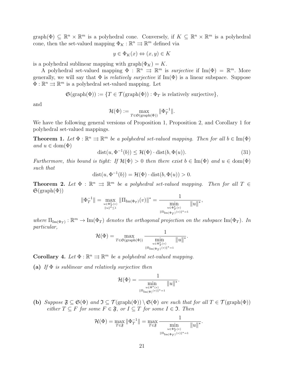graph( $\Phi$ )  $\subseteq \mathbb{R}^n \times \mathbb{R}^m$  is a polyhedral cone. Conversely, if  $K \subseteq \mathbb{R}^n \times \mathbb{R}^m$  is a polyhedral cone, then the set-valued mapping  $\Phi_K : \mathbb{R}^n \rightrightarrows \mathbb{R}^m$  defined via

$$
y \in \Phi_K(x) \Leftrightarrow (x, y) \in K
$$

is a polyhedral sublinear mapping with graph $(\Phi_K) = K$ .

A polyhedral set-valued mapping  $\Phi : \mathbb{R}^n \implies \mathbb{R}^m$  is *surjective* if  $\text{Im}(\Phi) = \mathbb{R}^m$ . More generally, we will say that  $\Phi$  is *relatively surjective* if  $\text{Im}(\Phi)$  is a linear subspace. Suppose  $\Phi : \mathbb{R}^n \rightrightarrows \mathbb{R}^m$  is a polyhedral set-valued mapping. Let

 $\mathfrak{S}(\text{graph}(\Phi)) := \{T \in \mathcal{T}(\text{graph}(\Phi)) : \Phi_T \text{ is relatively surjective}\},\$ 

and

$$
\mathcal{H}(\Phi) := \max_{T \in \mathfrak{S}(\text{graph}(\Phi))} \|\Phi_T^{-1}\|.
$$

We have the following general versions of Proposition 1, Proposition 2, and Corollary 1 for polyhedral set-valued mappings.

**Theorem 1.** Let  $\Phi : \mathbb{R}^n \Rightarrow \mathbb{R}^m$  be a polyhedral set-valued mapping. Then for all  $b \in \text{Im}(\Phi)$ and  $u \in \text{dom}(\Phi)$ 

$$
dist(u, \Phi^{-1}(b)) \le \mathcal{H}(\Phi) \cdot dist(b, \Phi(u)). \tag{31}
$$

Furthermore, this bound is tight: If  $\mathcal{H}(\Phi) > 0$  then there exist  $b \in \text{Im}(\Phi)$  and  $u \in \text{dom}(\Phi)$ such that

$$
dist(u, \Phi^{-1}(b)) = \mathcal{H}(\Phi) \cdot dist(b, \Phi(u)) > 0.
$$

**Theorem 2.** Let  $\Phi : \mathbb{R}^n \implies \mathbb{R}^m$  be a polyhedral set-valued mapping. Then for all  $T \in$  $\mathfrak{S}(\text{graph}(\Phi))$ 

$$
\|\Phi_T^{-1}\|=\max_{\genfrac{}{}{0pt}{}{u\in \Phi_T^*(v)}{\|u\|^*\leq 1}}\|\Pi_{\mathrm{Im}(\Phi_T)}(v)\|^*=\frac{1}{\min_{\genfrac{}{}{0pt}{}{u\in \Phi_T^*(v)}{\| \Pi_{\mathrm{Im}(\Phi_T)}(v)\|^*=1}}\|u\|^*,
$$

where  $\Pi_{\text{Im}(\Phi_T)} : \mathbb{R}^m \to \text{Im}(\Phi_T)$  denotes the orthogonal projection on the subspace  $\text{Im}(\Phi_T)$ . In particular,

$$
\mathcal{H}(\Phi)=\max_{T\in\mathfrak{S}(\text{graph}(\Phi))}\frac{1}{\min\limits_{\substack{u\in\Phi_T^*(v)\\ \|\Pi_{\text{Im}(\Phi_T)}(v)\|^*=1}}\|u\|^*}.
$$

**Corollary 4.** Let  $\Phi : \mathbb{R}^n \Rightarrow \mathbb{R}^m$  be a polyhedral set-valued mapping.

(a) If  $\Phi$  is sublinear and relatively surjective then

$$
\mathcal{H}(\Phi)=\frac{1}{\min\limits_{\scriptstyle u\in\Phi^*(v) \atop\scriptstyle \| \Pi_{\mathrm{Im}(\Phi)}(v)\|^*=1} \| u\|^*}.
$$

(b) Suppose  $\mathfrak{F} \subseteq \mathfrak{S}(\Phi)$  and  $\mathfrak{I} \subseteq \mathcal{T}(\text{graph}(\Phi)) \setminus \mathfrak{S}(\Phi)$  are such that for all  $T \in \mathcal{T}(\text{graph}(\Phi))$ either  $T \subseteq F$  for some  $F \in \mathfrak{F}$ , or  $I \subseteq T$  for some  $I \in \mathfrak{I}$ . Then

$$
\mathcal{H}(\Phi) = \max_{T \in \mathfrak{F}} \|\Phi_T^{-1}\| = \max_{T \in \mathfrak{F}} \frac{1}{\min_{u \in \Phi_T^*(v)} \|u\|^*}.
$$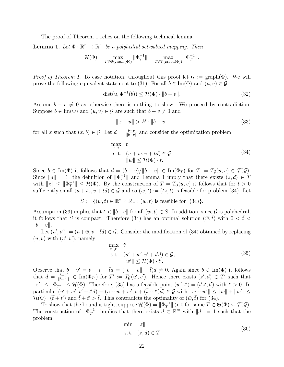The proof of Theorem 1 relies on the following technical lemma.

**Lemma 1.** Let  $\Phi : \mathbb{R}^n \Rightarrow \mathbb{R}^m$  be a polyhedral set-valued mapping. Then

$$
\mathcal{H}(\Phi) = \max_{T \in \mathfrak{S}(\text{graph}(\Phi))} \|\Phi_T^{-1}\| = \max_{T \in \mathcal{T}(\text{graph}(\Phi))} \|\Phi_T^{-1}\|.
$$

*Proof of Theorem 1.* To ease notation, throughout this proof let  $\mathcal{G} := \text{graph}(\Phi)$ . We will prove the following equivalent statement to (31): For all  $b \in \text{Im}(\Phi)$  and  $(u, v) \in \mathcal{G}$ 

$$
dist(u, \Phi^{-1}(b)) \le \mathcal{H}(\Phi) \cdot ||b - v||. \tag{32}
$$

Assume  $b - v \neq 0$  as otherwise there is nothing to show. We proceed by contradiction. Suppose  $b \in \text{Im}(\Phi)$  and  $(u, v) \in \mathcal{G}$  are such that  $b - v \neq 0$  and

$$
||x - u|| > H \cdot ||b - v|| \tag{33}
$$

for all x such that  $(x, b) \in \mathcal{G}$ . Let  $d := \frac{b-v}{\|b-v\|}$  and consider the optimization problem

$$
\max_{w,t} t
$$
  
s.t.  $(u+w, v+td) \in \mathcal{G}$ ,  

$$
||w|| \leq \mathcal{H}(\Phi) \cdot t.
$$
 (34)

Since  $b \in \text{Im}(\Phi)$  it follows that  $d = (b - v)/\|b - v\| \in \text{Im}(\Phi_T)$  for  $T := T_{\mathcal{G}}(u, v) \in \mathcal{T}(\mathcal{G})$ . Since  $||d|| = 1$ , the definition of  $||\Phi_T^{-1}||$  $T^{\text{-}1}$  and Lemma 1 imply that there exists  $(z, d) \in T$ with  $||z|| \leq ||\Phi_T^{-1}$  $\|T^{\perp}\| \leq \mathcal{H}(\Phi)$ . By the construction of  $T = T_{\mathcal{G}}(u, v)$  it follows that for  $t > 0$ sufficiently small  $(u + tz, v + td) \in G$  and so  $(w, t) := (tz, t)$  is feasible for problem (34). Let

$$
S := \{ (w, t) \in \mathbb{R}^n \times \mathbb{R}_+ : (w, t) \text{ is feasible for } (34) \}.
$$

Assumption (33) implies that  $t < ||b-v||$  for all  $(w, t) \in S$ . In addition, since G is polyhedral, it follows that S is compact. Therefore (34) has an optimal solution  $(\bar{w}, \bar{t})$  with  $0 < \bar{t} <$  $||b - v||$ .

Let  $(u', v') := (u + \bar{w}, v + \bar{t}d) \in \mathcal{G}$ . Consider the modification of (34) obtained by replacing  $(u, v)$  with  $(u', v')$ , namely

$$
\max_{w',t'} t' \n\text{s.t.} \quad (u' + w', v' + t'd) \in \mathcal{G}, \n\|w'\| \le \mathcal{H}(\Phi) \cdot t'.
$$
\n(35)

Observe that  $b - v' = b - v - \bar{t}d = (\Vert b - v \Vert - \bar{t})d \neq 0$ . Again since  $b \in \text{Im}(\Phi)$  it follows that  $d = \frac{b-v'}{\|b-v'\|}$  $\frac{b-v'}{\|b-v'\|} \in \text{Im}(\Phi_{T'})$  for  $T' := T_{\mathcal{G}}(u', v')$ . Hence there exists  $(z', d) \in T'$  such that  $||z'|| \le ||\Phi_{T'}^{-1}|| \le \mathcal{H}(\Phi)$ . Therefore, (35) has a feasible point  $(w', t') = (t'z', t')$  with  $t' > 0$ . In particular  $(u' + w', v' + t'd) = (u + \bar{w} + w', v + (\bar{t} + t')d) \in \mathcal{G}$  with  $\|\bar{w} + w'\| \leq \|\bar{w}\| + \|w'\| \leq$  $\mathcal{H}(\Phi) \cdot (\bar{t} + t')$  and  $\bar{t} + t' > \bar{t}$ . This contradicts the optimality of  $(\bar{w}, \bar{t})$  for (34).

To show that the bound is tight, suppose  $\mathcal{H}(\Phi) = ||\Phi_T^{-1}||$  $T^{\{-1\}}$  > 0 for some  $T \in \mathfrak{S}(\Phi) \subseteq \mathcal{T}(\mathcal{G})$ . The construction of  $\|\Phi_T^{-1}\|$  $\mathbb{T}$ <sup>1</sup>|| implies that there exists  $d \in \mathbb{R}^m$  with  $||d|| = 1$  such that the problem

$$
\min_{z} \|z\|
$$
  
s.t.  $(z,d) \in T$  (36)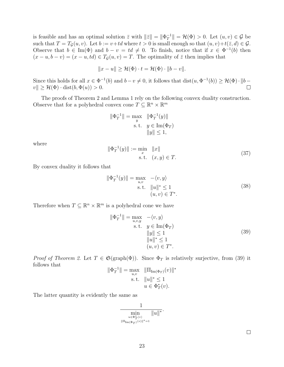is feasible and has an optimal solution  $\bar{z}$  with  $\|\bar{z}\| = \|\Phi_T^{-1}\|$  $\mathcal{H}^{-1}_{T} \| = \mathcal{H}(\Phi) > 0.$  Let  $(u, v) \in \mathcal{G}$  be such that  $T = T_{\mathcal{G}}(u, v)$ . Let  $b := v + td$  where  $t > 0$  is small enough so that  $(u, v) + t(\bar{z}, d) \in \mathcal{G}$ . Observe that  $b \in \text{Im}(\Phi)$  and  $b - v = td \neq 0$ . To finish, notice that if  $x \in \Phi^{-1}(b)$  then  $(x - u, b - v) = (x - u, td) \in T<sub>G</sub>(u, v) = T$ . The optimality of  $\overline{z}$  then implies that

$$
||x - u|| \ge \mathcal{H}(\Phi) \cdot t = \mathcal{H}(\Phi) \cdot ||b - v||.
$$

Since this holds for all  $x \in \Phi^{-1}(b)$  and  $b - v \neq 0$ , it follows that  $dist(u, \Phi^{-1}(b)) \geq \mathcal{H}(\Phi) \cdot ||b - v||$  $v \| \geq \mathcal{H}(\Phi) \cdot \text{dist}(b, \Phi(u)) > 0.$  $\Box$ 

The proofs of Theorem 2 and Lemma 1 rely on the following convex duality construction. Observe that for a polyhedral convex cone  $T \subseteq \mathbb{R}^n \times \mathbb{R}^m$ 

$$
\|\Phi_T^{-1}\| = \max_{y} \quad \|\Phi_T^{-1}(y)\|
$$
  
s.t.  $y \in \text{Im}(\Phi_T)$   
 $||y|| \le 1$ ,

where

$$
\|\Phi_T^{-1}(y)\| := \min_x \|x\|
$$
  
s.t.  $(x, y) \in T$ . (37)

By convex duality it follows that

$$
\|\Phi_T^{-1}(y)\| = \max_{u,v} \quad -\langle v, y \rangle
$$
  
s.t.  $||u||^* \le 1$   
 $(u, v) \in T^*.$  (38)

Therefore when  $T \subseteq \mathbb{R}^n \times \mathbb{R}^m$  is a polyhedral cone we have

$$
\|\Phi_T^{-1}\| = \max_{u,v,y} -\langle v,y\rangle
$$
  
s.t.  $y \in \text{Im}(\Phi_T)$   

$$
\|y\| \le 1
$$
  

$$
\|u\|^* \le 1
$$
  

$$
(u,v) \in T^*.
$$
 (39)

*Proof of Theorem 2.* Let  $T \in \mathfrak{S}(\text{graph}(\Phi))$ . Since  $\Phi_T$  is relatively surjective, from (39) it follows that −1  $\Vert \mathbf{H} \Vert = \Vert \mathbf{H} \Vert$ 

$$
\|\Phi_T^{-1}\| = \max_{u,v} \quad \|\Pi_{\text{Im}(\Phi_T)}(v)\|^*
$$
  
s.t. 
$$
\|u\|^* \le 1
$$

$$
u \in \Phi_T^*(v).
$$

The latter quantity is evidently the same as



 $\Box$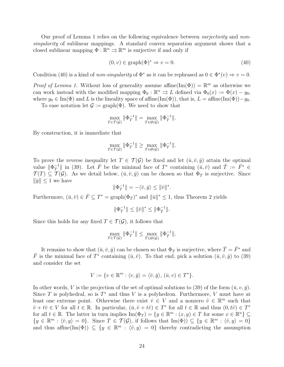Our proof of Lemma 1 relies on the following equivalence between *surjectivity* and nonsingularity of sublinear mappings. A standard convex separation argument shows that a closed sublinear mapping  $\Phi : \mathbb{R}^n \Rightarrow \mathbb{R}^m$  is surjective if and only if

 $(0, v) \in \text{graph}(\Phi)^* \Rightarrow v = 0.$  (40)

Condition (40) is a kind of non-singularity of  $\Phi^*$  as it can be rephrased as  $0 \in \Phi^*(v) \Rightarrow v = 0$ .

*Proof of Lemma 1.* Without loss of generality assume affine(Im( $\Phi$ )) =  $\mathbb{R}^m$  as otherwise we can work instead with the modified mapping  $\Phi_0 : \mathbb{R}^n \implies L$  defined via  $\Phi_0(x) := \Phi(x) - y_0$ , where  $y_0 \in \text{Im}(\Phi)$  and L is the lineality space of affine(Im( $\Phi$ )), that is, L = affine(Im( $\Phi$ ))−y<sub>0</sub>. To ease notation let  $\mathcal{G} := \text{graph}(\Phi)$ . We need to show that

$$
\max_{T \in \mathcal{T}(\mathcal{G})} \|\Phi_T^{-1}\| = \max_{T \in \mathfrak{S}(\mathcal{G})} \|\Phi_T^{-1}\|.
$$

By construction, it is immediate that

$$
\max_{T \in \mathcal{T}(\mathcal{G})} \|\Phi_T^{-1}\| \ge \max_{T \in \mathfrak{S}(\mathcal{G})} \|\Phi_T^{-1}\|.
$$

To prove the reverse inequality let  $T \in \mathcal{T}(\mathcal{G})$  be fixed and let  $(\bar{u}, \bar{v}, \bar{y})$  attain the optimal value  $\|\Phi_T^{-1}\|$  $T^{\text{-}1}$  in (39). Let  $\bar{F}$  be the minimal face of  $T^*$  containing  $(\bar{u}, \bar{v})$  and  $\bar{T} := \bar{F}^* \in$  $\mathcal{T}(T) \subseteq \mathcal{T}(\mathcal{G})$ . As we detail below,  $(\bar{u}, \bar{v}, \bar{y})$  can be chosen so that  $\Phi_{\bar{T}}$  is surjective. Since  $\|\bar{y}\| \leq 1$  we have

$$
\|\Phi_T^{-1}\| = -\langle \bar{v}, \bar{y} \rangle \le \|\bar{v}\|^*.
$$

Furthermore,  $(\bar{u}, \bar{v}) \in \bar{F} \subseteq T^* = \text{graph}(\Phi_{\bar{T}})^*$  and  $\|\bar{u}\|^* \leq 1$ , thus Theorem 2 yields

$$
\|\Phi_T^{-1}\|\leq \|\bar v\|^*\leq \|\Phi_T^{-1}\|.
$$

Since this holds for any fixed  $T \in \mathcal{T}(\mathcal{G})$ , it follows that

$$
\max_{T \in \mathcal{T}(\mathcal{G})} \|\Phi_T^{-1}\| \le \max_{\bar{T} \in \mathfrak{S}(\mathcal{G})} \|\Phi_{\bar{T}}^{-1}\|.
$$

It remains to show that  $(\bar{u}, \bar{v}, \bar{y})$  can be chosen so that  $\Phi_{\bar{T}}$  is surjective, where  $\bar{T} = \bar{F}^*$  and  $\bar{F}$  is the minimal face of  $T^*$  containing  $(\bar{u}, \bar{v})$ . To that end, pick a solution  $(\bar{u}, \bar{v}, \bar{y})$  to (39) and consider the set

$$
V := \{ v \in \mathbb{R}^m : \langle v, \bar{y} \rangle = \langle \bar{v}, \bar{y} \rangle, \, (\bar{u}, v) \in T^* \}.
$$

In other words, V is the projection of the set of optimal solutions to (39) of the form  $(\bar{u}, v, \bar{y})$ . Since T is polyhedral, so is  $T^*$  and thus V is a polyhedron. Furthermore, V must have at least one extreme point. Otherwise there exist  $\hat{v} \in V$  and a nonzero  $\tilde{v} \in \mathbb{R}^m$  such that  $\hat{v} + t\tilde{v} \in V$  for all  $t \in \mathbb{R}$ . In particular,  $(\bar{u}, \hat{v} + t\tilde{v}) \in T^*$  for all  $t \in \mathbb{R}$  and thus  $(0, t\tilde{v}) \in T^*$ for all  $t \in \mathbb{R}$ . The latter in turn implies  $\text{Im}(\Phi_T) = \{y \in \mathbb{R}^m : (x, y) \in T \text{ for some } x \in \mathbb{R}^n\} \subseteq$  $\{y \in \mathbb{R}^m : \langle \tilde{v}, y \rangle = 0\}.$  Since  $T \in \mathcal{T}(\mathcal{G})$ , if follows that  $\text{Im}(\Phi) \subseteq \{y \in \mathbb{R}^m : \langle \tilde{v}, y \rangle = 0\}$ and thus affine(Im( $\Phi$ ))  $\subseteq \{y \in \mathbb{R}^m : \langle \tilde{v}, y \rangle = 0\}$  thereby contradicting the assumption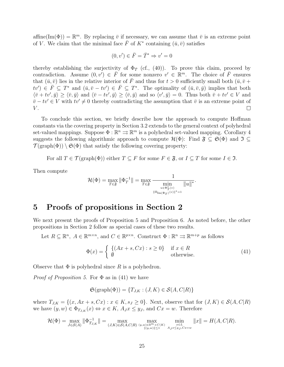affine(Im( $\Phi$ )) =  $\mathbb{R}^m$ . By replacing  $\bar{v}$  if necessary, we can assume that  $\bar{v}$  is an extreme point of V. We claim that the minimal face  $\bar{F}$  of  $K^*$  containing  $(\bar{u}, \bar{v})$  satisfies

$$
(0, v') \in \overline{F} = \overline{T}^* \Rightarrow v' = 0
$$

thereby establishing the surjectivity of  $\Phi_{\bar{T}}$  (cf., (40)). To prove this claim, proceed by contradiction. Assume  $(0, v') \in \overline{F}$  for some nonzero  $v' \in \mathbb{R}^m$ . The choice of  $\overline{F}$  ensures that  $(\bar{u}, \bar{v})$  lies in the relative interior of  $\bar{F}$  and thus for  $t > 0$  sufficiently small both  $(\bar{u}, \bar{v} +$  $tv' \in \overline{F} \subseteq T^*$  and  $(\overline{u}, \overline{v} - tv') \in \overline{F} \subseteq T^*$ . The optimality of  $(\overline{u}, \overline{v}, \overline{y})$  implies that both  $\langle \bar{v}+tv',\bar{y}\rangle \geq \langle \bar{v},\bar{y}\rangle$  and  $\langle \bar{v}-tv',\bar{y}\rangle \geq \langle \bar{v},\bar{y}\rangle$  and so  $\langle v',\bar{y}\rangle = 0$ . Thus both  $\bar{v}+tv' \in V$  and  $\bar{v} - tv' \in V$  with  $tv' \neq 0$  thereby contradicting the assumption that  $\bar{v}$  is an extreme point of  $V$ .  $\Box$ 

To conclude this section, we briefly describe how the approach to compute Hoffman constants via the covering property in Section 3.2 extends to the general context of polyhedral set-valued mappings. Suppose  $\Phi : \mathbb{R}^n \rightrightarrows \mathbb{R}^m$  is a polyhedral set-valued mapping. Corollary 4 suggests the following algorithmic approach to compute  $\mathcal{H}(\Phi)$ : Find  $\mathfrak{F} \subset \mathfrak{S}(\Phi)$  and  $\mathfrak{I} \subset \mathfrak{S}(\Phi)$  $\mathcal{T}(\text{graph}(\Phi)) \setminus \mathfrak{S}(\Phi)$  that satisfy the following covering property:

For all  $T \in \mathcal{T}(\text{graph}(\Phi))$  either  $T \subseteq F$  for some  $F \in \mathfrak{F}$ , or  $I \subseteq T$  for some  $I \in \mathfrak{I}$ .

Then compute

$$
\mathcal{H}(\Phi)=\max_{T\in \mathfrak{F}}\|\Phi_T^{-1}\|=\max_{T\in \mathfrak{F}}\frac{1}{\min\limits_{u\in \Phi_T^*(v)}\|u\|^*}.
$$

## 5 Proofs of propositions in Section 2

We next present the proofs of Proposition 5 and Proposition 6. As noted before, the other propositions in Section 2 follow as special cases of these two results.

Let  $R \subseteq \mathbb{R}^n$ ,  $A \in \mathbb{R}^{m \times n}$ , and  $C \in \mathbb{R}^{p \times n}$ . Construct  $\Phi : \mathbb{R}^n \rightrightarrows \mathbb{R}^{m+p}$  as follows

$$
\Phi(x) = \begin{cases} \{ (Ax + s, Cx) : s \ge 0 \} & \text{if } x \in R \\ \emptyset & \text{otherwise.} \end{cases}
$$
\n(41)

Observe that  $\Phi$  is polyhedral since R is a polyhedron.

*Proof of Proposition 5.* For  $\Phi$  as in (41) we have

$$
\mathfrak{S}(\text{graph}(\Phi)) = \{T_{J,K} : (J,K) \in \mathcal{S}(A,C|R)\}
$$

where  $T_{J,K} = \{(x, Ax + s, Cx) : x \in K, s_J \geq 0\}$ . Next, observe that for  $(J, K) \in \mathcal{S}(A, C|R)$ we have  $(y, w) \in \Phi_{T_{J,K}}(x) \Leftrightarrow x \in K$ ,  $A_J x \leq y_J$ , and  $Cx = w$ . Therefore

$$
\mathcal{H}(\Phi) = \max_{J \in \mathcal{S}(A)} \|\Phi_{T_{J,K}}^{-1}\| = \max_{(J,K) \in \mathcal{S}(A,C|R)} \max_{(y,w) \in \mathbb{R}^m \times C(K) \atop \| (y,w) \| \le 1} \min_{\substack{x \in L \\ A_J x \le y_J, Cx = w}} \|x\| = H(A,C|R).
$$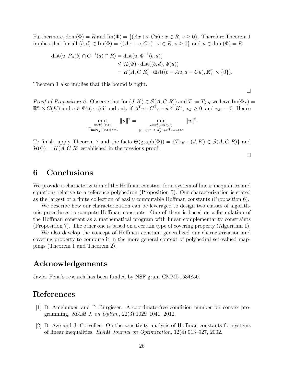Furthermore,  $\text{dom}(\Phi) = R$  and  $\text{Im}(\Phi) = \{(Ax + s, Cx) : x \in R, s \geq 0\}$ . Therefore Theorem 1 implies that for all  $(b, d) \in \text{Im}(\Phi) = \{(Ax + s, Cx) : x \in R, s \ge 0\}$  and  $u \in \text{dom}(\Phi) = R$ 

$$
dist(u, P_A(b) \cap C^{-1}(d) \cap R) = dist(u, \Phi^{-1}(b, d))
$$
  
\n
$$
\leq \mathcal{H}(\Phi) \cdot dist((b, d), \Phi(u))
$$
  
\n
$$
= H(A, C|R) \cdot dist((b - Au, d - Cu), \mathbb{R}_+^m \times \{0\}).
$$

Theorem 1 also implies that this bound is tight.

*Proof of Proposition 6.* Observe that for  $(J, K) \in S(A, C|R)$  and  $T := T_{J,K}$  we have Im( $\Phi_T$ ) =  $\mathbb{R}^m \times C(K)$  and  $u \in \Phi_T^*(v, z)$  if and only if  $A^{\mathsf{T}} v + C^{\mathsf{T}} z - u \in K^*$ ,  $v_J \geq 0$ , and  $v_{J^c} = 0$ . Hence

> $\min_{u \in \Phi_T^*(v,z)}$  $\|\Pi_{\mathrm{Im}(\Phi_T)(v,z)}\|^{*}=1$  $||u||^* = \min_{v \in \mathbb{R}_+^J, z \in C(K)}$  $||(v,z)||^* = 1, A_J^{\mathsf{T}} v + C^{\mathsf{T}} z - u \in L^*$  $||u||^*$ .

To finish, apply Theorem 2 and the facts  $\mathfrak{S}(\text{graph}(\Phi)) = \{T_{J,K} : (J,K) \in \mathcal{S}(A,C|R)\}\$ and  $\mathcal{H}(\Phi) = H(A, C|R)$  established in the previous proof.

 $\Box$ 

 $\Box$ 

### 6 Conclusions

We provide a characterization of the Hoffman constant for a system of linear inequalities and equations relative to a reference polyhedron (Proposition 5). Our characterization is stated as the largest of a finite collection of easily computable Hoffman constants (Proposition 6).

We describe how our characterization can be leveraged to design two classes of algorithmic procedures to compute Hoffman constants. One of them is based on a formulation of the Hoffman constant as a mathematical program with linear complementarity constraints (Proposition 7). The other one is based on a certain type of covering property (Algorithm 1).

We also develop the concept of Hoffman constant generalized our characterization and covering property to compute it in the more general context of polyhedral set-valued mappings (Theorem 1 and Theorem 2).

## Acknowledgements

Javier Peña's research has been funded by NSF grant CMMI-1534850.

## References

- $[1]$  D. Amelunxen and P. Bürgisser. A coordinate-free condition number for convex programming. SIAM J. on Optim., 22(3):1029–1041, 2012.
- $[2]$  D. Azé and J. Corvellec. On the sensitivity analysis of Hoffman constants for systems of linear inequalities. SIAM Journal on Optimization, 12(4):913–927, 2002.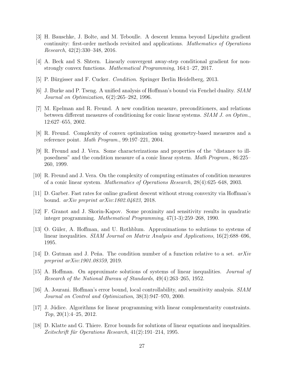- [3] H. Bauschke, J. Bolte, and M. Teboulle. A descent lemma beyond Lipschitz gradient continuity: first-order methods revisited and applications. Mathematics of Operations Research, 42(2):330–348, 2016.
- [4] A. Beck and S. Shtern. Linearly convergent away-step conditional gradient for nonstrongly convex functions. Mathematical Programming, 164:1–27, 2017.
- [5] P. Bürgisser and F. Cucker. *Condition*. Springer Berlin Heidelberg, 2013.
- [6] J. Burke and P. Tseng. A unified analysis of Hoffman's bound via Fenchel duality. SIAM Journal on Optimization, 6(2):265–282, 1996.
- [7] M. Epelman and R. Freund. A new condition measure, preconditioners, and relations between different measures of conditioning for conic linear systems. SIAM J. on Optim., 12:627–655, 2002.
- [8] R. Freund. Complexity of convex optimization using geometry-based measures and a reference point. Math Program., 99:197–221, 2004.
- [9] R. Freund and J. Vera. Some characterizations and properties of the "distance to illposedness" and the condition measure of a conic linear system. Math Program., 86:225– 260, 1999.
- [10] R. Freund and J. Vera. On the complexity of computing estimates of condition measures of a conic linear system. Mathematics of Operations Research, 28(4):625–648, 2003.
- [11] D. Garber. Fast rates for online gradient descent without strong convexity via Hoffman's bound. arXiv preprint arXiv:1802.04623, 2018.
- [12] F. Granot and J. Skorin-Kapov. Some proximity and sensitivity results in quadratic integer programming. Mathematical Programming, 47(1-3):259–268, 1990.
- [13] O. Güler, A. Hoffman, and U. Rothblum. Approximations to solutions to systems of linear inequalities. SIAM Journal on Matrix Analysis and Applications, 16(2):688–696, 1995.
- [14] D. Gutman and J. Peña. The condition number of a function relative to a set.  $arXiv$ preprint arXiv:1901.08359, 2019.
- [15] A. Hoffman. On approximate solutions of systems of linear inequalities. Journal of Research of the National Bureau of Standards, 49(4):263–265, 1952.
- [16] A. Jourani. Hoffman's error bound, local controllability, and sensitivity analysis. SIAM Journal on Control and Optimization, 38(3):947–970, 2000.
- $[17]$  J. Júdice. Algorithms for linear programming with linear complementarity constraints. Top, 20(1):4–25, 2012.
- [18] D. Klatte and G. Thiere. Error bounds for solutions of linear equations and inequalities. Zeitschrift für Operations Research,  $41(2):191-214$ , 1995.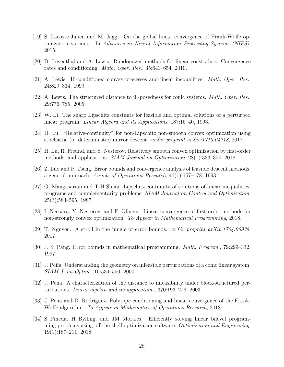- [19] S. Lacoste-Julien and M. Jaggi. On the global linear convergence of Frank-Wolfe optimization variants. In Advances in Neural Information Processing Systems (NIPS), 2015.
- [20] D. Leventhal and A. Lewis. Randomized methods for linear constraints: Convergence rates and conditioning. Math. Oper. Res., 35:641–654, 2010.
- [21] A. Lewis. Ill-conditioned convex processes and linear inequalities. Math. Oper. Res., 24:829–834, 1999.
- [22] A. Lewis. The structured distance to ill-posedness for conic systems. Math. Oper. Res., 29:776–785, 2005.
- [23] W. Li. The sharp Lipschitz constants for feasible and optimal solutions of a perturbed linear program. Linear Algebra and its Applications, 187:15–40, 1993.
- [24] H. Lu. "Relative-continuity" for non-Lipschitz non-smooth convex optimization using stochastic (or deterministic) mirror descent. arXiv preprint arXiv:1710.04718, 2017.
- [25] H. Lu, R. Freund, and Y. Nesterov. Relatively smooth convex optimization by first-order methods, and applications. SIAM Journal on Optimization, 28(1):333–354, 2018.
- [26] Z. Luo and P. Tseng. Error bounds and convergence analysis of feasible descent methods: a general approach. Annals of Operations Research, 46(1):157–178, 1993.
- [27] O. Mangasarian and T-H Shiau. Lipschitz continuity of solutions of linear inequalities, programs and complementarity problems. SIAM Journal on Control and Optimization, 25(3):583–595, 1987.
- [28] I. Necoara, Y. Nesterov, and F. Glineur. Linear convergence of first order methods for non-strongly convex optimization. To Appear in Mathematical Programming, 2018.
- [29] T. Nguyen. A stroll in the jungle of error bounds.  $arXiv$  preprint  $arXiv:1704.06938$ , 2017.
- [30] J. S. Pang. Error bounds in mathematical programming. Math. Program., 79:299–332, 1997.
- [31] J. Peña. Understanding the geometry on infeasible perturbations of a conic linear system. SIAM J. on Optim., 10:534–550, 2000.
- [32] J. Peña. A characterization of the distance to infeasibility under block-structured perturbations. Linear algebra and its applications, 370:193–216, 2003.
- [33] J. Peña and D. Rodríguez. Polytope conditioning and linear convergence of the Frank-Wolfe algorithm. To Appear in Mathematics of Operations Research, 2018.
- [34] S Pineda, H Bylling, and JM Morales. Efficiently solving linear bilevel programming problems using off-the-shelf optimization software. Optimization and Engineering, 19(1):187–211, 2018.